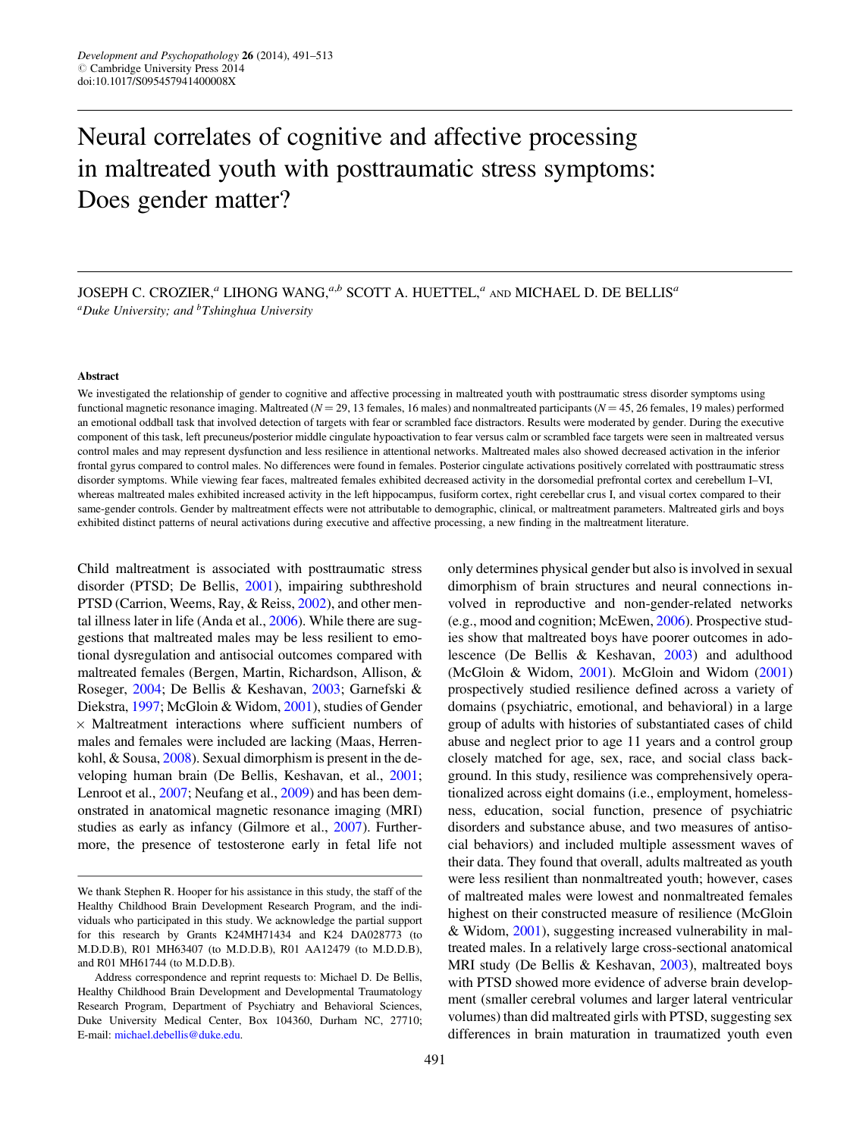# Neural correlates of cognitive and affective processing in maltreated youth with posttraumatic stress symptoms: Does gender matter?

JOSEPH C. CROZIER,<sup>a</sup> LIHONG WANG, $a,b$  SCOTT A. HUETTEL, $a$  and MICHAEL D. DE BELLIS<sup>a</sup> <sup>a</sup>Duke University; and <sup>b</sup>Tshinghua University

#### Abstract

We investigated the relationship of gender to cognitive and affective processing in maltreated youth with posttraumatic stress disorder symptoms using functional magnetic resonance imaging. Maltreated ( $N = 29$ , 13 females, 16 males) and nonmaltreated participants ( $N = 45$ , 26 females, 19 males) performed an emotional oddball task that involved detection of targets with fear or scrambled face distractors. Results were moderated by gender. During the executive component of this task, left precuneus/posterior middle cingulate hypoactivation to fear versus calm or scrambled face targets were seen in maltreated versus control males and may represent dysfunction and less resilience in attentional networks. Maltreated males also showed decreased activation in the inferior frontal gyrus compared to control males. No differences were found in females. Posterior cingulate activations positively correlated with posttraumatic stress disorder symptoms. While viewing fear faces, maltreated females exhibited decreased activity in the dorsomedial prefrontal cortex and cerebellum I–VI, whereas maltreated males exhibited increased activity in the left hippocampus, fusiform cortex, right cerebellar crus I, and visual cortex compared to their same-gender controls. Gender by maltreatment effects were not attributable to demographic, clinical, or maltreatment parameters. Maltreated girls and boys exhibited distinct patterns of neural activations during executive and affective processing, a new finding in the maltreatment literature.

Child maltreatment is associated with posttraumatic stress disorder (PTSD; De Bellis, [2001\)](#page-20-0), impairing subthreshold PTSD (Carrion, Weems, Ray, & Reiss, [2002](#page-20-0)), and other mental illness later in life (Anda et al., [2006](#page-19-0)). While there are suggestions that maltreated males may be less resilient to emotional dysregulation and antisocial outcomes compared with maltreated females (Bergen, Martin, Richardson, Allison, & Roseger, [2004](#page-19-0); De Bellis & Keshavan, [2003](#page-20-0); Garnefski & Diekstra, [1997;](#page-20-0) McGloin & Widom, [2001\)](#page-21-0), studies of Gender  $\times$  Maltreatment interactions where sufficient numbers of males and females were included are lacking (Maas, Herrenkohl, & Sousa, [2008](#page-21-0)). Sexual dimorphism is present in the developing human brain (De Bellis, Keshavan, et al., [2001](#page-20-0); Lenroot et al., [2007;](#page-21-0) Neufang et al., [2009](#page-21-0)) and has been demonstrated in anatomical magnetic resonance imaging (MRI) studies as early as infancy (Gilmore et al., [2007](#page-20-0)). Furthermore, the presence of testosterone early in fetal life not

only determines physical gender but also is involved in sexual dimorphism of brain structures and neural connections involved in reproductive and non-gender-related networks (e.g., mood and cognition; McEwen, [2006](#page-21-0)). Prospective studies show that maltreated boys have poorer outcomes in adolescence (De Bellis & Keshavan, [2003\)](#page-20-0) and adulthood (McGloin & Widom, [2001](#page-21-0)). McGloin and Widom ([2001\)](#page-21-0) prospectively studied resilience defined across a variety of domains (psychiatric, emotional, and behavioral) in a large group of adults with histories of substantiated cases of child abuse and neglect prior to age 11 years and a control group closely matched for age, sex, race, and social class background. In this study, resilience was comprehensively operationalized across eight domains (i.e., employment, homelessness, education, social function, presence of psychiatric disorders and substance abuse, and two measures of antisocial behaviors) and included multiple assessment waves of their data. They found that overall, adults maltreated as youth were less resilient than nonmaltreated youth; however, cases of maltreated males were lowest and nonmaltreated females highest on their constructed measure of resilience (McGloin & Widom, [2001](#page-21-0)), suggesting increased vulnerability in maltreated males. In a relatively large cross-sectional anatomical MRI study (De Bellis & Keshavan, [2003\)](#page-20-0), maltreated boys with PTSD showed more evidence of adverse brain development (smaller cerebral volumes and larger lateral ventricular volumes) than did maltreated girls with PTSD, suggesting sex differences in brain maturation in traumatized youth even

We thank Stephen R. Hooper for his assistance in this study, the staff of the Healthy Childhood Brain Development Research Program, and the individuals who participated in this study. We acknowledge the partial support for this research by Grants K24MH71434 and K24 DA028773 (to M.D.D.B), R01 MH63407 (to M.D.D.B), R01 AA12479 (to M.D.D.B), and R01 MH61744 (to M.D.D.B).

Address correspondence and reprint requests to: Michael D. De Bellis, Healthy Childhood Brain Development and Developmental Traumatology Research Program, Department of Psychiatry and Behavioral Sciences, Duke University Medical Center, Box 104360, Durham NC, 27710; E-mail: [michael.debellis@duke.edu](mailto:michael.debellis@duke.edu).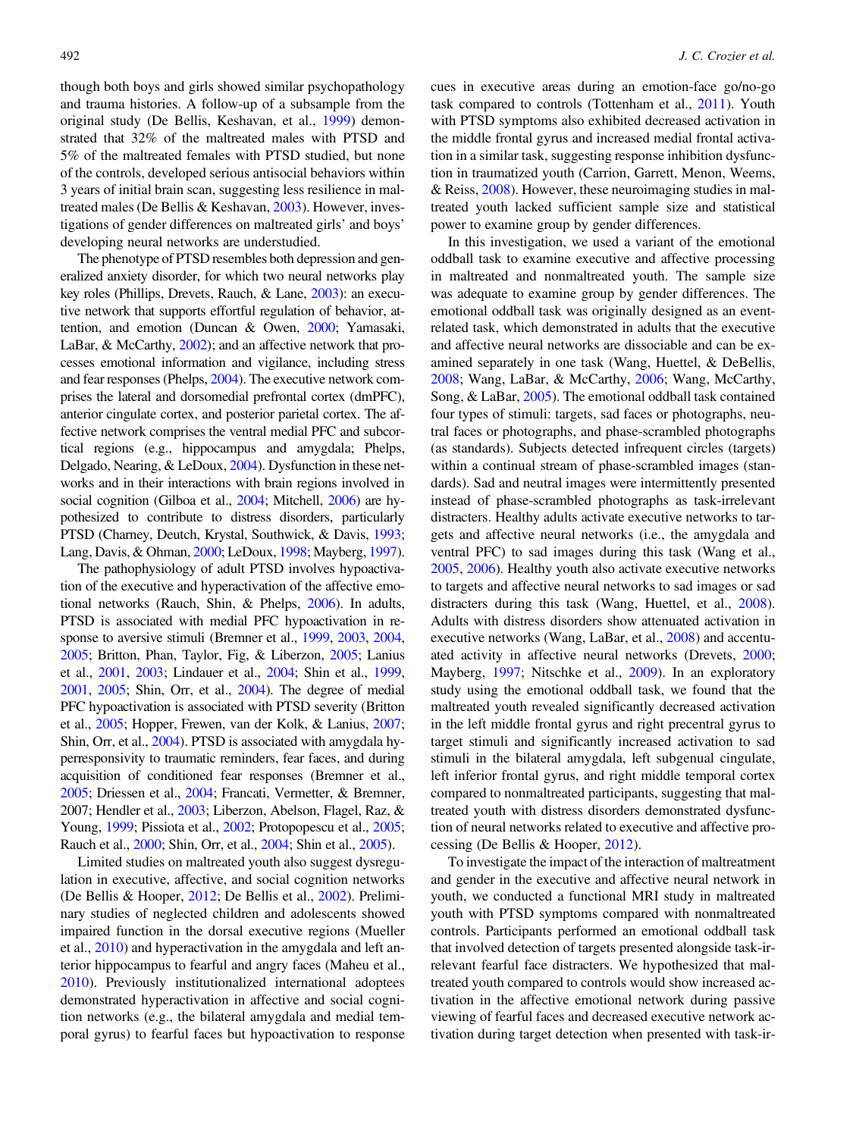though both boys and girls showed similar psychopathology and trauma histories. A follow-up of a subsample from the original study (De Bellis, Keshavan, et al., [1999](#page-20-0)) demonstrated that 32% of the maltreated males with PTSD and 5% of the maltreated females with PTSD studied, but none of the controls, developed serious antisocial behaviors within 3 years of initial brain scan, suggesting less resilience in maltreated males (De Bellis & Keshavan, [2003](#page-20-0)). However, investigations of gender differences on maltreated girls' and boys' developing neural networks are understudied.

The phenotype of PTSD resembles both depression and generalized anxiety disorder, for which two neural networks play key roles (Phillips, Drevets, Rauch, & Lane, [2003\)](#page-21-0): an executive network that supports effortful regulation of behavior, attention, and emotion (Duncan & Owen, [2000](#page-20-0); Yamasaki, LaBar, & McCarthy, [2002](#page-22-0)); and an affective network that processes emotional information and vigilance, including stress and fear responses (Phelps, [2004](#page-21-0)). The executive network comprises the lateral and dorsomedial prefrontal cortex (dmPFC), anterior cingulate cortex, and posterior parietal cortex. The affective network comprises the ventral medial PFC and subcortical regions (e.g., hippocampus and amygdala; Phelps, Delgado, Nearing, & LeDoux, [2004](#page-21-0)). Dysfunction in these networks and in their interactions with brain regions involved in social cognition (Gilboa et al., [2004](#page-20-0); Mitchell, [2006\)](#page-21-0) are hypothesized to contribute to distress disorders, particularly PTSD (Charney, Deutch, Krystal, Southwick, & Davis, [1993](#page-20-0); Lang, Davis, & Ohman, [2000](#page-21-0); LeDoux, [1998;](#page-21-0) Mayberg, [1997](#page-21-0)).

The pathophysiology of adult PTSD involves hypoactivation of the executive and hyperactivation of the affective emotional networks (Rauch, Shin, & Phelps, [2006\)](#page-22-0). In adults, PTSD is associated with medial PFC hypoactivation in response to aversive stimuli (Bremner et al., [1999,](#page-20-0) [2003,](#page-20-0) [2004](#page-20-0), [2005;](#page-20-0) Britton, Phan, Taylor, Fig, & Liberzon, [2005](#page-20-0); Lanius et al., [2001,](#page-21-0) [2003;](#page-21-0) Lindauer et al., [2004](#page-21-0); Shin et al., [1999](#page-22-0), [2001,](#page-22-0) [2005;](#page-22-0) Shin, Orr, et al., [2004\)](#page-22-0). The degree of medial PFC hypoactivation is associated with PTSD severity (Britton et al., [2005](#page-20-0); Hopper, Frewen, van der Kolk, & Lanius, [2007](#page-21-0); Shin, Orr, et al., [2004](#page-22-0)). PTSD is associated with amygdala hyperresponsivity to traumatic reminders, fear faces, and during acquisition of conditioned fear responses (Bremner et al., [2005;](#page-20-0) Driessen et al., [2004;](#page-20-0) Francati, Vermetter, & Bremner, 2007; Hendler et al., [2003](#page-21-0); Liberzon, Abelson, Flagel, Raz, & Young, [1999](#page-21-0); Pissiota et al., [2002;](#page-21-0) Protopopescu et al., [2005](#page-22-0); Rauch et al., [2000](#page-22-0); Shin, Orr, et al., [2004](#page-22-0); Shin et al., [2005\)](#page-22-0).

Limited studies on maltreated youth also suggest dysregulation in executive, affective, and social cognition networks (De Bellis & Hooper, [2012](#page-20-0); De Bellis et al., [2002](#page-20-0)). Preliminary studies of neglected children and adolescents showed impaired function in the dorsal executive regions (Mueller et al., [2010\)](#page-21-0) and hyperactivation in the amygdala and left anterior hippocampus to fearful and angry faces (Maheu et al., [2010](#page-21-0)). Previously institutionalized international adoptees demonstrated hyperactivation in affective and social cognition networks (e.g., the bilateral amygdala and medial temporal gyrus) to fearful faces but hypoactivation to response cues in executive areas during an emotion-face go/no-go task compared to controls (Tottenham et al., [2011\)](#page-22-0). Youth with PTSD symptoms also exhibited decreased activation in the middle frontal gyrus and increased medial frontal activation in a similar task, suggesting response inhibition dysfunction in traumatized youth (Carrion, Garrett, Menon, Weems, & Reiss, [2008\)](#page-20-0). However, these neuroimaging studies in maltreated youth lacked sufficient sample size and statistical power to examine group by gender differences.

In this investigation, we used a variant of the emotional oddball task to examine executive and affective processing in maltreated and nonmaltreated youth. The sample size was adequate to examine group by gender differences. The emotional oddball task was originally designed as an eventrelated task, which demonstrated in adults that the executive and affective neural networks are dissociable and can be examined separately in one task (Wang, Huettel, & DeBellis, [2008](#page-22-0); Wang, LaBar, & McCarthy, [2006](#page-22-0); Wang, McCarthy, Song, & LaBar, [2005](#page-22-0)). The emotional oddball task contained four types of stimuli: targets, sad faces or photographs, neutral faces or photographs, and phase-scrambled photographs (as standards). Subjects detected infrequent circles (targets) within a continual stream of phase-scrambled images (standards). Sad and neutral images were intermittently presented instead of phase-scrambled photographs as task-irrelevant distracters. Healthy adults activate executive networks to targets and affective neural networks (i.e., the amygdala and ventral PFC) to sad images during this task (Wang et al., [2005](#page-22-0), [2006](#page-22-0)). Healthy youth also activate executive networks to targets and affective neural networks to sad images or sad distracters during this task (Wang, Huettel, et al., [2008](#page-22-0)). Adults with distress disorders show attenuated activation in executive networks (Wang, LaBar, et al., [2008](#page-22-0)) and accentuated activity in affective neural networks (Drevets, [2000](#page-20-0); Mayberg, [1997;](#page-21-0) Nitschke et al., [2009\)](#page-21-0). In an exploratory study using the emotional oddball task, we found that the maltreated youth revealed significantly decreased activation in the left middle frontal gyrus and right precentral gyrus to target stimuli and significantly increased activation to sad stimuli in the bilateral amygdala, left subgenual cingulate, left inferior frontal gyrus, and right middle temporal cortex compared to nonmaltreated participants, suggesting that maltreated youth with distress disorders demonstrated dysfunction of neural networks related to executive and affective processing (De Bellis & Hooper, [2012](#page-20-0)).

To investigate the impact of the interaction of maltreatment and gender in the executive and affective neural network in youth, we conducted a functional MRI study in maltreated youth with PTSD symptoms compared with nonmaltreated controls. Participants performed an emotional oddball task that involved detection of targets presented alongside task-irrelevant fearful face distracters. We hypothesized that maltreated youth compared to controls would show increased activation in the affective emotional network during passive viewing of fearful faces and decreased executive network activation during target detection when presented with task-ir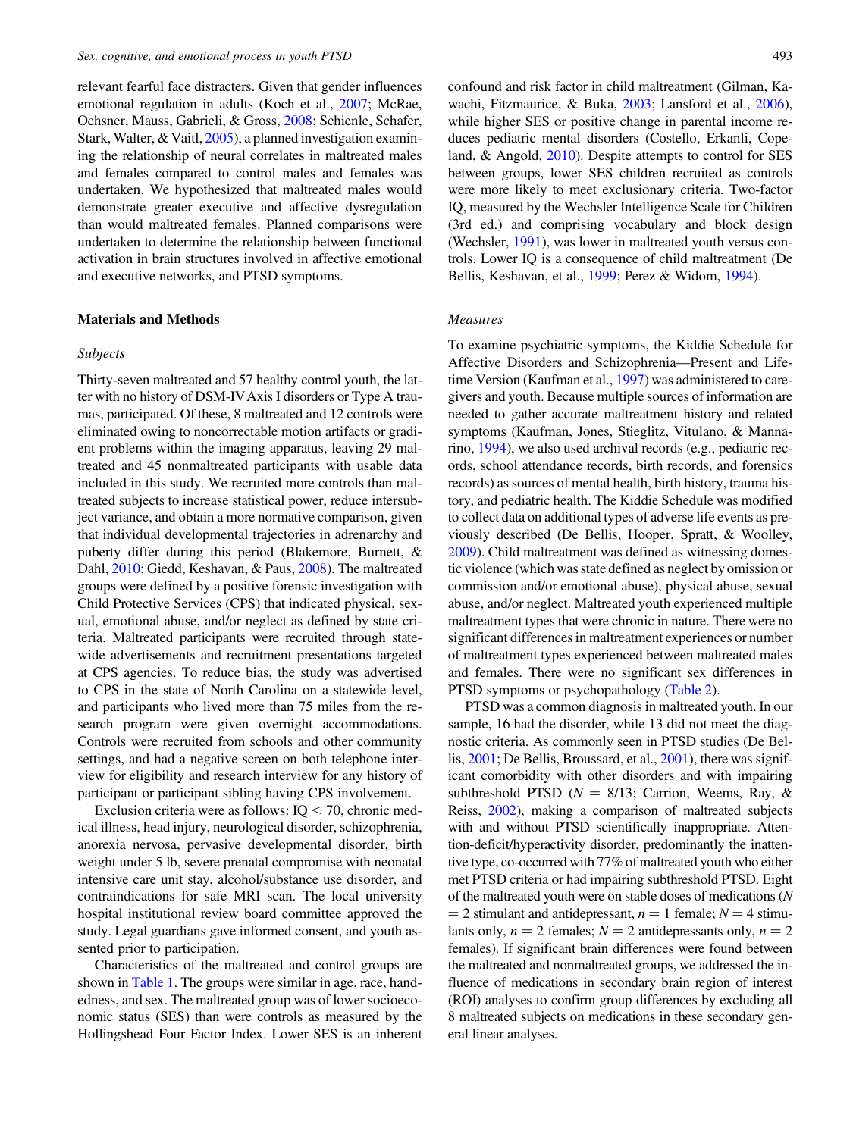relevant fearful face distracters. Given that gender influences emotional regulation in adults (Koch et al., [2007](#page-21-0); McRae, Ochsner, Mauss, Gabrieli, & Gross, [2008;](#page-21-0) Schienle, Schafer, Stark, Walter, & Vaitl, [2005\)](#page-22-0), a planned investigation examining the relationship of neural correlates in maltreated males and females compared to control males and females was undertaken. We hypothesized that maltreated males would demonstrate greater executive and affective dysregulation than would maltreated females. Planned comparisons were undertaken to determine the relationship between functional activation in brain structures involved in affective emotional and executive networks, and PTSD symptoms.

## Materials and Methods

#### Subjects

Thirty-seven maltreated and 57 healthy control youth, the latter with no history of DSM-IVAxis I disorders or Type A traumas, participated. Of these, 8 maltreated and 12 controls were eliminated owing to noncorrectable motion artifacts or gradient problems within the imaging apparatus, leaving 29 maltreated and 45 nonmaltreated participants with usable data included in this study. We recruited more controls than maltreated subjects to increase statistical power, reduce intersubject variance, and obtain a more normative comparison, given that individual developmental trajectories in adrenarchy and puberty differ during this period (Blakemore, Burnett, & Dahl, [2010;](#page-20-0) Giedd, Keshavan, & Paus, [2008\)](#page-20-0). The maltreated groups were defined by a positive forensic investigation with Child Protective Services (CPS) that indicated physical, sexual, emotional abuse, and/or neglect as defined by state criteria. Maltreated participants were recruited through statewide advertisements and recruitment presentations targeted at CPS agencies. To reduce bias, the study was advertised to CPS in the state of North Carolina on a statewide level, and participants who lived more than 75 miles from the research program were given overnight accommodations. Controls were recruited from schools and other community settings, and had a negative screen on both telephone interview for eligibility and research interview for any history of participant or participant sibling having CPS involvement.

Exclusion criteria were as follows:  $IQ < 70$ , chronic medical illness, head injury, neurological disorder, schizophrenia, anorexia nervosa, pervasive developmental disorder, birth weight under 5 lb, severe prenatal compromise with neonatal intensive care unit stay, alcohol/substance use disorder, and contraindications for safe MRI scan. The local university hospital institutional review board committee approved the study. Legal guardians gave informed consent, and youth assented prior to participation.

Characteristics of the maltreated and control groups are shown in [Table 1](#page-3-0). The groups were similar in age, race, handedness, and sex. The maltreated group was of lower socioeconomic status (SES) than were controls as measured by the Hollingshead Four Factor Index. Lower SES is an inherent confound and risk factor in child maltreatment (Gilman, Kawachi, Fitzmaurice, & Buka, [2003;](#page-20-0) Lansford et al., [2006](#page-21-0)), while higher SES or positive change in parental income reduces pediatric mental disorders (Costello, Erkanli, Copeland, & Angold, [2010\)](#page-20-0). Despite attempts to control for SES between groups, lower SES children recruited as controls were more likely to meet exclusionary criteria. Two-factor IQ, measured by the Wechsler Intelligence Scale for Children (3rd ed.) and comprising vocabulary and block design (Wechsler, [1991](#page-22-0)), was lower in maltreated youth versus controls. Lower IQ is a consequence of child maltreatment (De Bellis, Keshavan, et al., [1999](#page-20-0); Perez & Widom, [1994\)](#page-21-0).

#### Measures

To examine psychiatric symptoms, the Kiddie Schedule for Affective Disorders and Schizophrenia—Present and Life-time Version (Kaufman et al., [1997\)](#page-21-0) was administered to caregivers and youth. Because multiple sources of information are needed to gather accurate maltreatment history and related symptoms (Kaufman, Jones, Stieglitz, Vitulano, & Mannarino, [1994\)](#page-21-0), we also used archival records (e.g., pediatric records, school attendance records, birth records, and forensics records) as sources of mental health, birth history, trauma history, and pediatric health. The Kiddie Schedule was modified to collect data on additional types of adverse life events as previously described (De Bellis, Hooper, Spratt, & Woolley, [2009\)](#page-20-0). Child maltreatment was defined as witnessing domestic violence (which was state defined as neglect by omission or commission and/or emotional abuse), physical abuse, sexual abuse, and/or neglect. Maltreated youth experienced multiple maltreatment types that were chronic in nature. There were no significant differences in maltreatment experiences or number of maltreatment types experienced between maltreated males and females. There were no significant sex differences in PTSD symptoms or psychopathology [\(Table 2\)](#page-4-0).

PTSD was a common diagnosis in maltreated youth. In our sample, 16 had the disorder, while 13 did not meet the diagnostic criteria. As commonly seen in PTSD studies (De Bellis, [2001;](#page-20-0) De Bellis, Broussard, et al., [2001\)](#page-20-0), there was significant comorbidity with other disorders and with impairing subthreshold PTSD ( $N = 8/13$ ; Carrion, Weems, Ray, & Reiss, [2002\)](#page-20-0), making a comparison of maltreated subjects with and without PTSD scientifically inappropriate. Attention-deficit/hyperactivity disorder, predominantly the inattentive type, co-occurred with 77% of maltreated youth who either met PTSD criteria or had impairing subthreshold PTSD. Eight of the maltreated youth were on stable doses of medications (N  $=$  2 stimulant and antidepressant,  $n = 1$  female;  $N = 4$  stimulants only,  $n = 2$  females;  $N = 2$  antidepressants only,  $n = 2$ females). If significant brain differences were found between the maltreated and nonmaltreated groups, we addressed the influence of medications in secondary brain region of interest (ROI) analyses to confirm group differences by excluding all 8 maltreated subjects on medications in these secondary general linear analyses.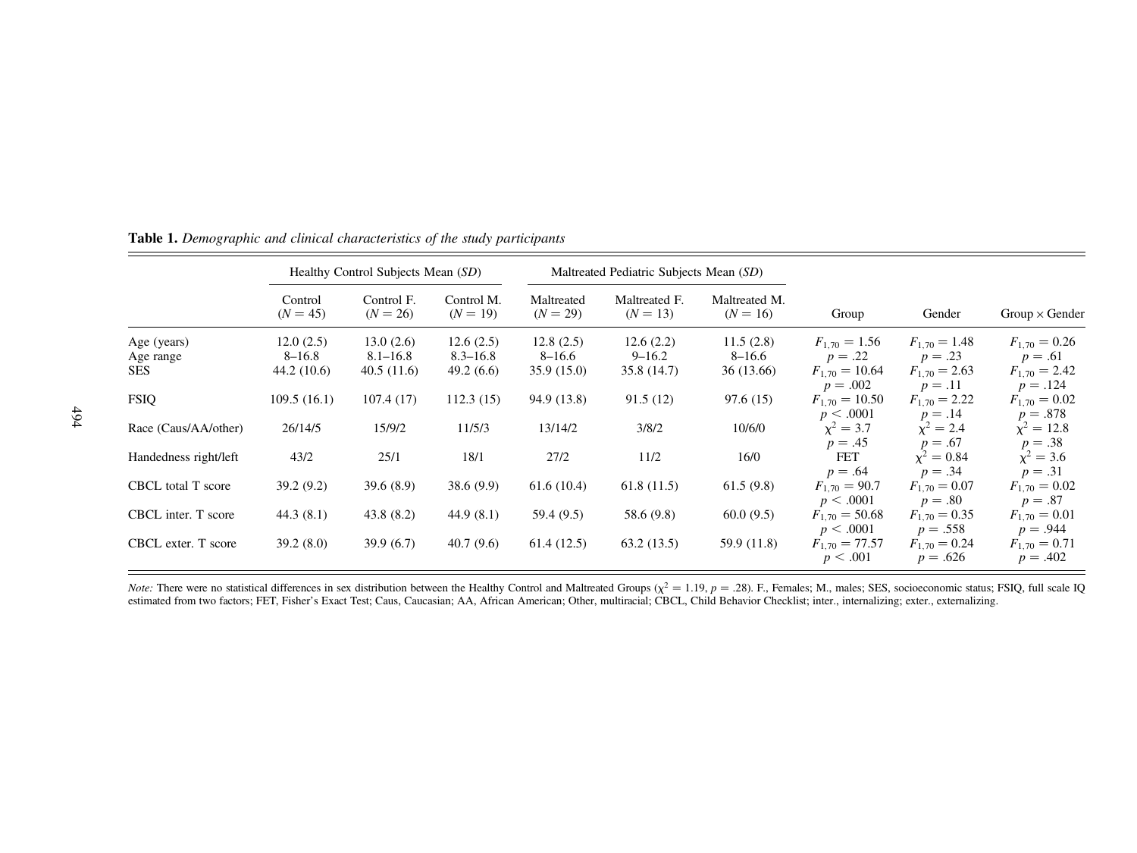|                                        |                                       | Healthy Control Subjects Mean (SD)      |                                        |                                       | Maltreated Pediatric Subjects Mean (SD) |                                       |                                                    |                                                   |                                                   |
|----------------------------------------|---------------------------------------|-----------------------------------------|----------------------------------------|---------------------------------------|-----------------------------------------|---------------------------------------|----------------------------------------------------|---------------------------------------------------|---------------------------------------------------|
|                                        | Control<br>$(N = 45)$                 | Control F.<br>$(N = 26)$                | Control M.<br>$(N = 19)$               | Maltreated<br>$(N = 29)$              | Maltreated F.<br>$(N = 13)$             | Maltreated M.<br>$(N = 16)$           | Group                                              | Gender                                            | $Group \times Gender$                             |
| Age (years)<br>Age range<br><b>SES</b> | 12.0(2.5)<br>$8 - 16.8$<br>44.2(10.6) | 13.0(2.6)<br>$8.1 - 16.8$<br>40.5(11.6) | 12.6(2.5)<br>$8.3 - 16.8$<br>49.2(6.6) | 12.8(2.5)<br>$8 - 16.6$<br>35.9(15.0) | 12.6(2.2)<br>$9 - 16.2$<br>35.8(14.7)   | 11.5(2.8)<br>$8 - 16.6$<br>36 (13.66) | $F_{1,70} = 1.56$<br>$p=.22$<br>$F_{1,70} = 10.64$ | $F_{1,70} = 1.48$<br>$p=.23$<br>$F_{1,70} = 2.63$ | $F_{1.70} = 0.26$<br>$p=.61$<br>$F_{1,70} = 2.42$ |
| <b>FSIQ</b>                            | 109.5(16.1)                           | 107.4(17)                               | 112.3(15)                              | 94.9 (13.8)                           | 91.5(12)                                | 97.6(15)                              | $p = .002$<br>$F_{1,70} = 10.50$<br>p < .0001      | $p=.11$<br>$F_{1,70} = 2.22$<br>$p=.14$           | $p=.124$<br>$F_{1,70} = 0.02$<br>$p=.878$         |
| Race (Caus/AA/other)                   | 26/14/5                               | 15/9/2                                  | 11/5/3                                 | 13/14/2                               | 3/8/2                                   | 10/6/0                                | $\chi^2 = 3.7$<br>$p=.45$                          | $x^2 = 2.4$<br>$p=.67$                            | $x^2 = 12.8$<br>$p=.38$                           |
| Handedness right/left                  | 43/2                                  | 25/1                                    | 18/1                                   | 27/2                                  | 11/2                                    | 16/0                                  | FET<br>$p = .64$                                   | $v^2 = 0.84$<br>$p=.34$                           | $x^2 = 3.6$<br>$p=.31$                            |
| CBCL total T score                     | 39.2(9.2)                             | 39.6(8.9)                               | 38.6(9.9)                              | 61.6(10.4)                            | 61.8(11.5)                              | 61.5(9.8)                             | $F_{1,70} = 90.7$<br>p < .0001                     | $F_{1,70} = 0.07$<br>$p=.80$                      | $F_{1,70} = 0.02$<br>$p=.87$                      |
| CBCL inter. T score                    | 44.3(8.1)                             | 43.8(8.2)                               | 44.9(8.1)                              | 59.4 (9.5)                            | 58.6 (9.8)                              | 60.0(9.5)                             | $F_{1,70} = 50.68$<br>p < .0001                    | $F_{1,70} = 0.35$<br>$p = .558$                   | $F_{1,70} = 0.01$<br>$p = .944$                   |
| CBCL exter. T score                    | 39.2(8.0)                             | 39.9(6.7)                               | 40.7(9.6)                              | 61.4(12.5)                            | 63.2(13.5)                              | 59.9 (11.8)                           | $F_{1,70} = 77.57$<br>p < .001                     | $F_{1,70} = 0.24$<br>$p = .626$                   | $F_{1.70} = 0.71$<br>$p = .402$                   |

<span id="page-3-0"></span>**Table 1.** Demographic and clinical characteristics of the study participants

*Note:* There were no statistical differences in sex distribution between the Healthy Control and Maltreated Groups ( $\chi^2 = 1.19$ ,  $p = .28$ ). F., Females; M., males; SES, socioeconomic status; FSIQ, full scale IQ estimated from two factors; FET, Fisher's Exact Test; Caus, Caucasian; AA, African American; Other, multiracial; CBCL, Child Behavior Checklist; inter., internalizing; exter., externalizing.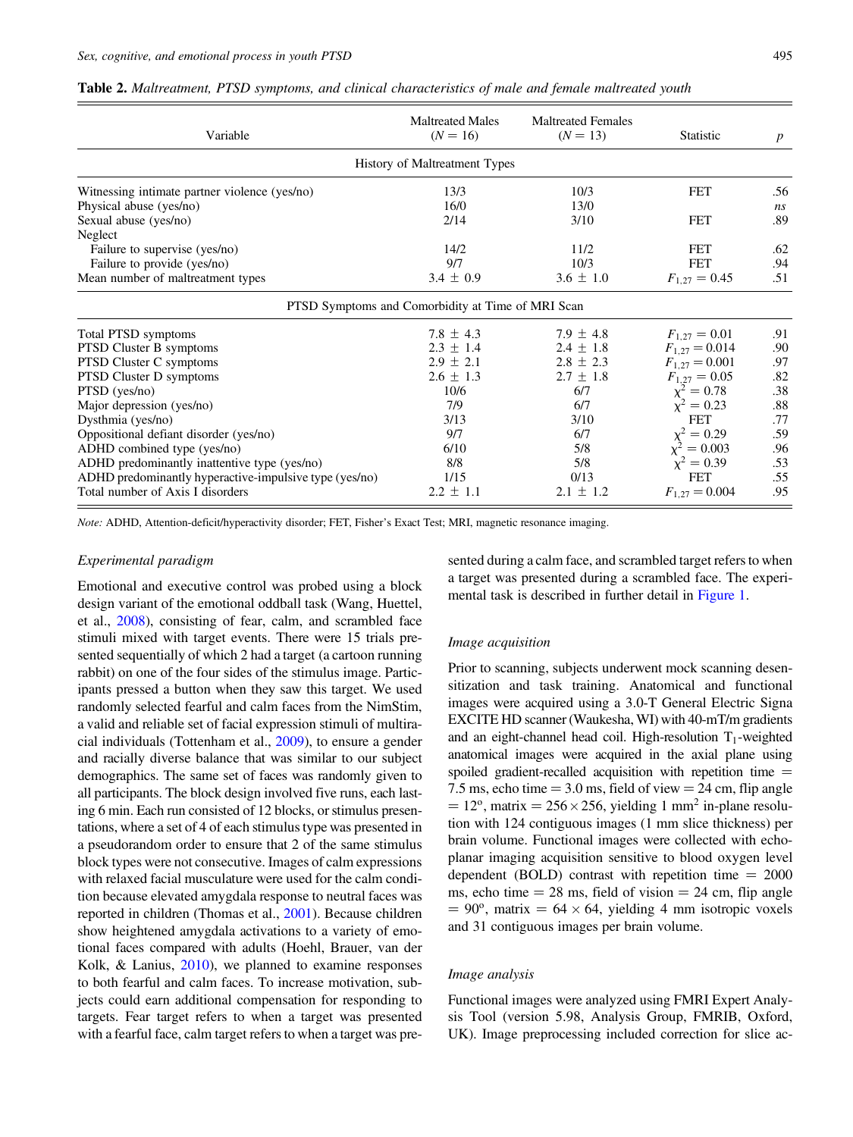<span id="page-4-0"></span>

|  |  |  | Table 2. Maltreatment, PTSD symptoms, and clinical characteristics of male and female maltreated youth |  |  |  |
|--|--|--|--------------------------------------------------------------------------------------------------------|--|--|--|
|  |  |  |                                                                                                        |  |  |  |

| Variable                                               | <b>Maltreated Males</b><br>$(N = 16)$             | <b>Maltreated Females</b><br>$(N = 13)$ | <b>Statistic</b>   | $\boldsymbol{p}$ |
|--------------------------------------------------------|---------------------------------------------------|-----------------------------------------|--------------------|------------------|
|                                                        | History of Maltreatment Types                     |                                         |                    |                  |
| Witnessing intimate partner violence (yes/no)          | 13/3                                              | 10/3                                    | <b>FET</b>         | .56              |
| Physical abuse (yes/no)                                | 16/0                                              | 13/0                                    |                    | ns               |
| Sexual abuse (yes/no)                                  | 2/14                                              | 3/10                                    | <b>FET</b>         | .89              |
| Neglect                                                |                                                   |                                         |                    |                  |
| Failure to supervise (yes/no)                          | 14/2                                              | 11/2                                    | <b>FET</b>         | .62              |
| Failure to provide (yes/no)                            | 9/7                                               | 10/3                                    | <b>FET</b>         | .94              |
| Mean number of maltreatment types                      | $3.4 \pm 0.9$                                     | $3.6 \pm 1.0$                           | $F_{1,27} = 0.45$  | .51              |
|                                                        | PTSD Symptoms and Comorbidity at Time of MRI Scan |                                         |                    |                  |
| Total PTSD symptoms                                    | 7.8 $\pm$ 4.3                                     | 7.9 $\pm$ 4.8                           | $F_{1,27} = 0.01$  | .91              |
| PTSD Cluster B symptoms                                | $2.3 \pm 1.4$                                     | $2.4 \pm 1.8$                           | $F_{1,27} = 0.014$ | .90              |
| PTSD Cluster C symptoms                                | $2.9 \pm 2.1$                                     | $2.8 \pm 2.3$                           | $F_{1,27} = 0.001$ | .97              |
| PTSD Cluster D symptoms                                | $2.6 \pm 1.3$                                     | $2.7 \pm 1.8$                           | $F_{1,27} = 0.05$  | .82              |
| $PTSD$ (yes/no)                                        | 10/6                                              | 6/7                                     | $\chi^2 = 0.78$    | .38              |
| Major depression (yes/no)                              | 7/9                                               | 6/7                                     | $\chi^2 = 0.23$    | .88              |
| Dysthmia (yes/no)                                      | 3/13                                              | 3/10                                    | <b>FET</b>         | .77              |
| Oppositional defiant disorder (yes/no)                 | 9/7                                               | 6/7                                     | $\chi^2 = 0.29$    | .59              |
| ADHD combined type (yes/no)                            | 6/10                                              | 5/8                                     | $\chi^2 = 0.003$   | .96              |
| ADHD predominantly inattentive type (yes/no)           | 8/8                                               | 5/8                                     | $\chi^2 = 0.39$    | .53              |
| ADHD predominantly hyperactive-impulsive type (yes/no) | 1/15                                              | 0/13                                    | <b>FET</b>         | .55              |
| Total number of Axis I disorders                       | $2.2 \pm 1.1$                                     | $2.1 \pm 1.2$                           | $F_{1,27} = 0.004$ | .95              |

Note: ADHD, Attention-deficit/hyperactivity disorder; FET, Fisher's Exact Test; MRI, magnetic resonance imaging.

## Experimental paradigm

Emotional and executive control was probed using a block design variant of the emotional oddball task (Wang, Huettel, et al., [2008](#page-22-0)), consisting of fear, calm, and scrambled face stimuli mixed with target events. There were 15 trials presented sequentially of which 2 had a target (a cartoon running rabbit) on one of the four sides of the stimulus image. Participants pressed a button when they saw this target. We used randomly selected fearful and calm faces from the NimStim, a valid and reliable set of facial expression stimuli of multiracial individuals (Tottenham et al., [2009\)](#page-22-0), to ensure a gender and racially diverse balance that was similar to our subject demographics. The same set of faces was randomly given to all participants. The block design involved five runs, each lasting 6 min. Each run consisted of 12 blocks, or stimulus presentations, where a set of 4 of each stimulus type was presented in a pseudorandom order to ensure that 2 of the same stimulus block types were not consecutive. Images of calm expressions with relaxed facial musculature were used for the calm condition because elevated amygdala response to neutral faces was reported in children (Thomas et al., [2001\)](#page-22-0). Because children show heightened amygdala activations to a variety of emotional faces compared with adults (Hoehl, Brauer, van der Kolk, & Lanius, [2010\)](#page-21-0), we planned to examine responses to both fearful and calm faces. To increase motivation, subjects could earn additional compensation for responding to targets. Fear target refers to when a target was presented with a fearful face, calm target refers to when a target was pre-

sented during a calm face, and scrambled target refers to when a target was presented during a scrambled face. The experimental task is described in further detail in [Figure 1](#page-5-0).

#### Image acquisition

Prior to scanning, subjects underwent mock scanning desensitization and task training. Anatomical and functional images were acquired using a 3.0-T General Electric Signa EXCITE HD scanner (Waukesha, WI) with 40-mT/m gradients and an eight-channel head coil. High-resolution  $T_1$ -weighted anatomical images were acquired in the axial plane using spoiled gradient-recalled acquisition with repetition time  $=$ 7.5 ms, echo time  $=$  3.0 ms, field of view  $=$  24 cm, flip angle  $= 12^{\circ}$ , matrix  $= 256 \times 256$ , yielding 1 mm<sup>2</sup> in-plane resolution with 124 contiguous images (1 mm slice thickness) per brain volume. Functional images were collected with echoplanar imaging acquisition sensitive to blood oxygen level dependent (BOLD) contrast with repetition time  $= 2000$ ms, echo time  $= 28$  ms, field of vision  $= 24$  cm, flip angle  $= 90^{\circ}$ , matrix  $= 64 \times 64$ , yielding 4 mm isotropic voxels and 31 contiguous images per brain volume.

#### Image analysis

Functional images were analyzed using FMRI Expert Analysis Tool (version 5.98, Analysis Group, FMRIB, Oxford, UK). Image preprocessing included correction for slice ac-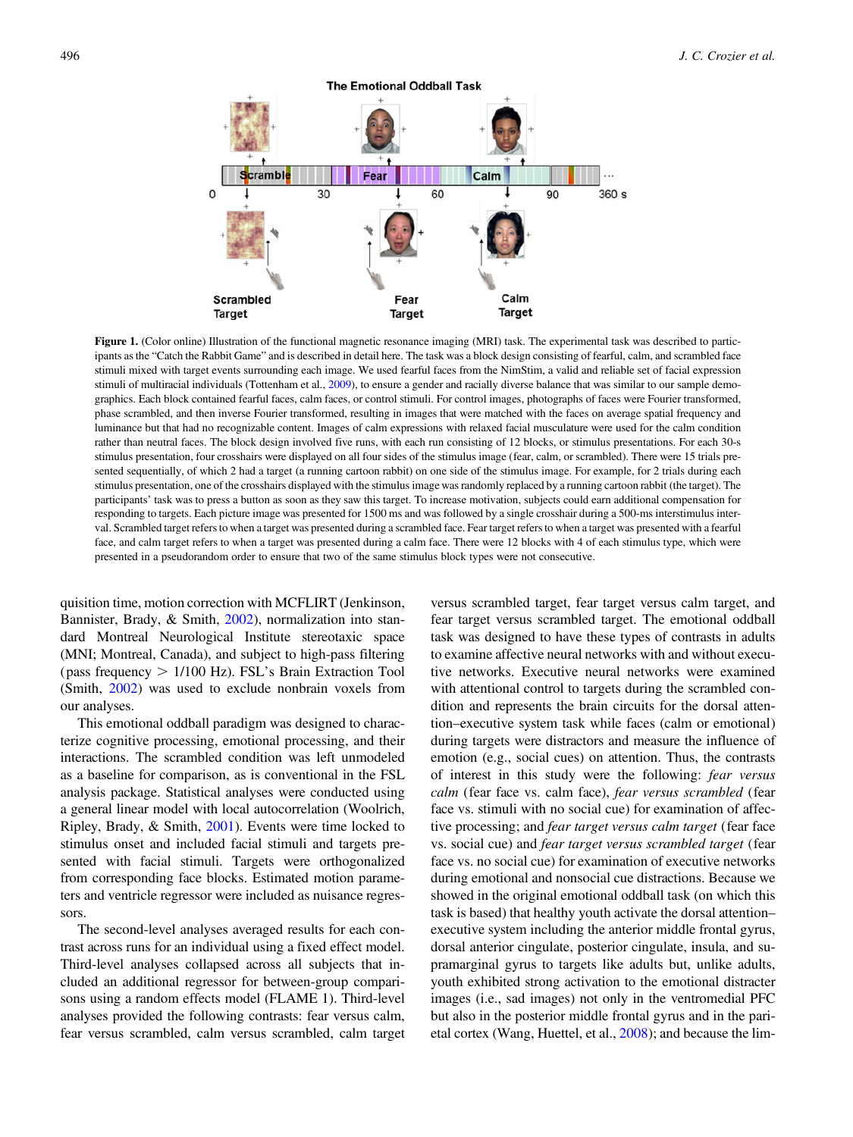<span id="page-5-0"></span>

Figure 1. (Color online) Illustration of the functional magnetic resonance imaging (MRI) task. The experimental task was described to participants as the "Catch the Rabbit Game" and is described in detail here. The task was a block design consisting of fearful, calm, and scrambled face stimuli mixed with target events surrounding each image. We used fearful faces from the NimStim, a valid and reliable set of facial expression stimuli of multiracial individuals (Tottenham et al., [2009\)](#page-22-0), to ensure a gender and racially diverse balance that was similar to our sample demographics. Each block contained fearful faces, calm faces, or control stimuli. For control images, photographs of faces were Fourier transformed, phase scrambled, and then inverse Fourier transformed, resulting in images that were matched with the faces on average spatial frequency and luminance but that had no recognizable content. Images of calm expressions with relaxed facial musculature were used for the calm condition rather than neutral faces. The block design involved five runs, with each run consisting of 12 blocks, or stimulus presentations. For each 30-s stimulus presentation, four crosshairs were displayed on all four sides of the stimulus image (fear, calm, or scrambled). There were 15 trials presented sequentially, of which 2 had a target (a running cartoon rabbit) on one side of the stimulus image. For example, for 2 trials during each stimulus presentation, one of the crosshairs displayed with the stimulus image was randomly replaced by a running cartoon rabbit (the target). The participants' task was to press a button as soon as they saw this target. To increase motivation, subjects could earn additional compensation for responding to targets. Each picture image was presented for 1500 ms and was followed by a single crosshair during a 500-ms interstimulus interval. Scrambled target refers to when a target was presented during a scrambled face. Fear target refers to when a target was presented with a fearful face, and calm target refers to when a target was presented during a calm face. There were 12 blocks with 4 of each stimulus type, which were presented in a pseudorandom order to ensure that two of the same stimulus block types were not consecutive.

quisition time, motion correction with MCFLIRT (Jenkinson, Bannister, Brady, & Smith, [2002\)](#page-21-0), normalization into standard Montreal Neurological Institute stereotaxic space (MNI; Montreal, Canada), and subject to high-pass filtering (pass frequency  $> 1/100$  Hz). FSL's Brain Extraction Tool (Smith, [2002\)](#page-22-0) was used to exclude nonbrain voxels from our analyses.

This emotional oddball paradigm was designed to characterize cognitive processing, emotional processing, and their interactions. The scrambled condition was left unmodeled as a baseline for comparison, as is conventional in the FSL analysis package. Statistical analyses were conducted using a general linear model with local autocorrelation (Woolrich, Ripley, Brady, & Smith, [2001](#page-22-0)). Events were time locked to stimulus onset and included facial stimuli and targets presented with facial stimuli. Targets were orthogonalized from corresponding face blocks. Estimated motion parameters and ventricle regressor were included as nuisance regressors.

The second-level analyses averaged results for each contrast across runs for an individual using a fixed effect model. Third-level analyses collapsed across all subjects that included an additional regressor for between-group comparisons using a random effects model (FLAME 1). Third-level analyses provided the following contrasts: fear versus calm, fear versus scrambled, calm versus scrambled, calm target

versus scrambled target, fear target versus calm target, and fear target versus scrambled target. The emotional oddball task was designed to have these types of contrasts in adults to examine affective neural networks with and without executive networks. Executive neural networks were examined with attentional control to targets during the scrambled condition and represents the brain circuits for the dorsal attention–executive system task while faces (calm or emotional) during targets were distractors and measure the influence of emotion (e.g., social cues) on attention. Thus, the contrasts of interest in this study were the following: fear versus calm (fear face vs. calm face), fear versus scrambled (fear face vs. stimuli with no social cue) for examination of affective processing; and fear target versus calm target (fear face vs. social cue) and fear target versus scrambled target (fear face vs. no social cue) for examination of executive networks during emotional and nonsocial cue distractions. Because we showed in the original emotional oddball task (on which this task is based) that healthy youth activate the dorsal attention– executive system including the anterior middle frontal gyrus, dorsal anterior cingulate, posterior cingulate, insula, and supramarginal gyrus to targets like adults but, unlike adults, youth exhibited strong activation to the emotional distracter images (i.e., sad images) not only in the ventromedial PFC but also in the posterior middle frontal gyrus and in the parietal cortex (Wang, Huettel, et al., [2008](#page-22-0)); and because the lim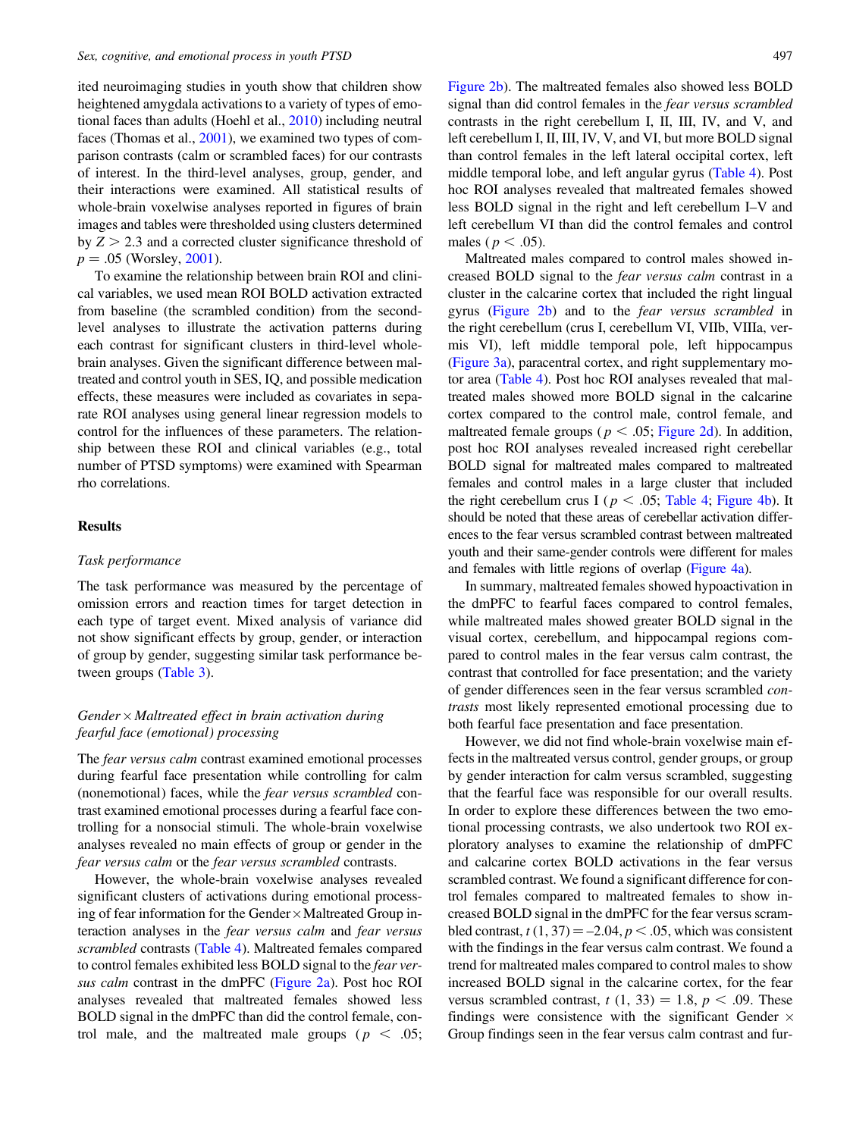ited neuroimaging studies in youth show that children show heightened amygdala activations to a variety of types of emotional faces than adults (Hoehl et al., [2010](#page-21-0)) including neutral faces (Thomas et al., [2001\)](#page-22-0), we examined two types of comparison contrasts (calm or scrambled faces) for our contrasts of interest. In the third-level analyses, group, gender, and their interactions were examined. All statistical results of whole-brain voxelwise analyses reported in figures of brain images and tables were thresholded using clusters determined by  $Z > 2.3$  and a corrected cluster significance threshold of  $p = .05$  (Worsley, [2001](#page-22-0)).

To examine the relationship between brain ROI and clinical variables, we used mean ROI BOLD activation extracted from baseline (the scrambled condition) from the secondlevel analyses to illustrate the activation patterns during each contrast for significant clusters in third-level wholebrain analyses. Given the significant difference between maltreated and control youth in SES, IQ, and possible medication effects, these measures were included as covariates in separate ROI analyses using general linear regression models to control for the influences of these parameters. The relationship between these ROI and clinical variables (e.g., total number of PTSD symptoms) were examined with Spearman rho correlations.

#### Results

#### Task performance

The task performance was measured by the percentage of omission errors and reaction times for target detection in each type of target event. Mixed analysis of variance did not show significant effects by group, gender, or interaction of group by gender, suggesting similar task performance between groups [\(Table 3](#page-7-0)).

# Gender × Maltreated effect in brain activation during fearful face (emotional) processing

The fear versus calm contrast examined emotional processes during fearful face presentation while controlling for calm (nonemotional) faces, while the fear versus scrambled contrast examined emotional processes during a fearful face controlling for a nonsocial stimuli. The whole-brain voxelwise analyses revealed no main effects of group or gender in the fear versus calm or the fear versus scrambled contrasts.

However, the whole-brain voxelwise analyses revealed significant clusters of activations during emotional processing of fear information for the Gender × Maltreated Group interaction analyses in the fear versus calm and fear versus scrambled contrasts [\(Table 4](#page-8-0)). Maltreated females compared to control females exhibited less BOLD signal to the fear ver-sus calm contrast in the dmPFC [\(Figure 2a\)](#page-10-0). Post hoc ROI analyses revealed that maltreated females showed less BOLD signal in the dmPFC than did the control female, control male, and the maltreated male groups ( $p < .05$ ;

[Figure 2b\)](#page-10-0). The maltreated females also showed less BOLD signal than did control females in the fear versus scrambled contrasts in the right cerebellum I, II, III, IV, and V, and left cerebellum I, II, III, IV, V, and VI, but more BOLD signal than control females in the left lateral occipital cortex, left middle temporal lobe, and left angular gyrus ([Table 4\)](#page-8-0). Post hoc ROI analyses revealed that maltreated females showed less BOLD signal in the right and left cerebellum I–V and left cerebellum VI than did the control females and control males ( $p < .05$ ).

Maltreated males compared to control males showed increased BOLD signal to the fear versus calm contrast in a cluster in the calcarine cortex that included the right lingual gyrus [\(Figure 2b](#page-10-0)) and to the fear versus scrambled in the right cerebellum (crus I, cerebellum VI, VIIb, VIIIa, vermis VI), left middle temporal pole, left hippocampus [\(Figure 3a\)](#page-11-0), paracentral cortex, and right supplementary motor area [\(Table 4](#page-8-0)). Post hoc ROI analyses revealed that maltreated males showed more BOLD signal in the calcarine cortex compared to the control male, control female, and maltreated female groups ( $p < .05$ ; [Figure 2d](#page-10-0)). In addition, post hoc ROI analyses revealed increased right cerebellar BOLD signal for maltreated males compared to maltreated females and control males in a large cluster that included the right cerebellum crus I ( $p < .05$ ; [Table 4](#page-8-0); [Figure 4b](#page-12-0)). It should be noted that these areas of cerebellar activation differences to the fear versus scrambled contrast between maltreated youth and their same-gender controls were different for males and females with little regions of overlap [\(Figure 4a](#page-12-0)).

In summary, maltreated females showed hypoactivation in the dmPFC to fearful faces compared to control females, while maltreated males showed greater BOLD signal in the visual cortex, cerebellum, and hippocampal regions compared to control males in the fear versus calm contrast, the contrast that controlled for face presentation; and the variety of gender differences seen in the fear versus scrambled contrasts most likely represented emotional processing due to both fearful face presentation and face presentation.

However, we did not find whole-brain voxelwise main effects in the maltreated versus control, gender groups, or group by gender interaction for calm versus scrambled, suggesting that the fearful face was responsible for our overall results. In order to explore these differences between the two emotional processing contrasts, we also undertook two ROI exploratory analyses to examine the relationship of dmPFC and calcarine cortex BOLD activations in the fear versus scrambled contrast. We found a significant difference for control females compared to maltreated females to show increased BOLD signal in the dmPFC for the fear versus scrambled contrast,  $t(1, 37) = -2.04$ ,  $p < .05$ , which was consistent with the findings in the fear versus calm contrast. We found a trend for maltreated males compared to control males to show increased BOLD signal in the calcarine cortex, for the fear versus scrambled contrast,  $t$  (1, 33) = 1.8,  $p < .09$ . These findings were consistence with the significant Gender  $\times$ Group findings seen in the fear versus calm contrast and fur-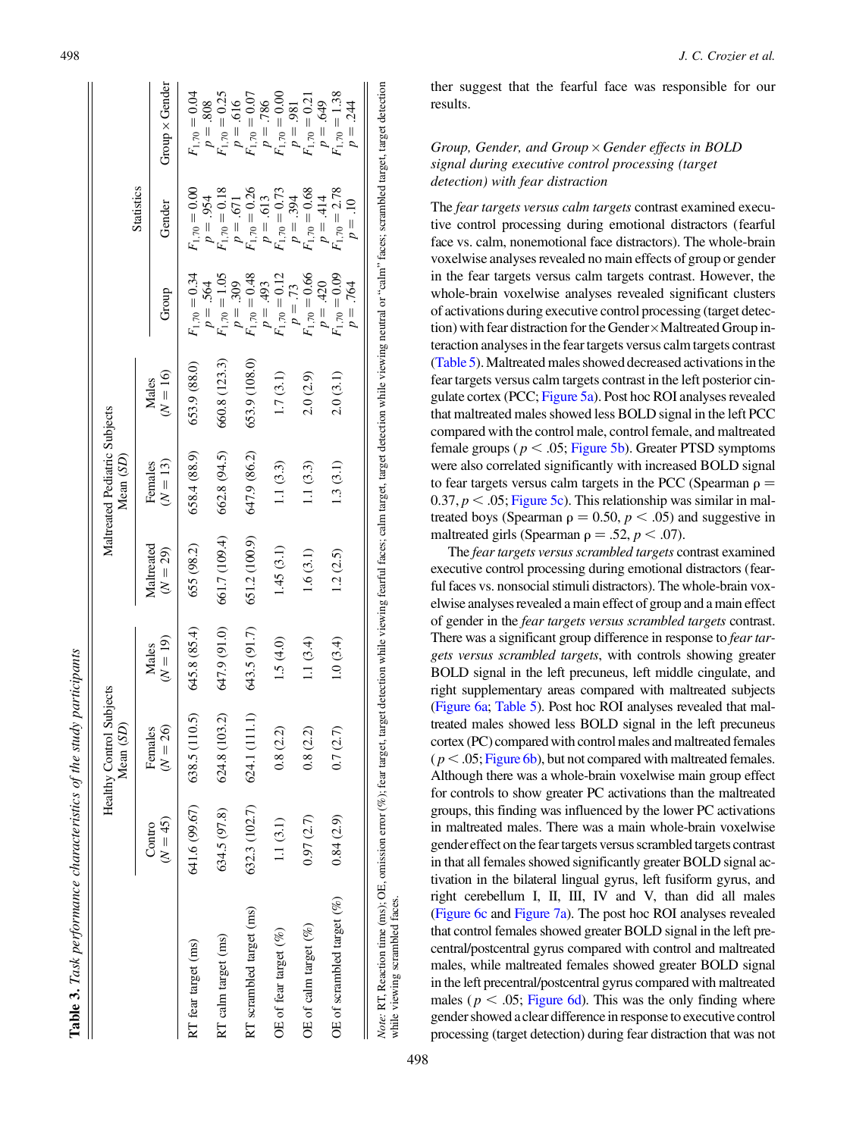<span id="page-7-0"></span>

|                            |                      | Healthy Control Subjects<br>Mean (SD) |                     |                          | Maltreated Pediatric Subjects<br>Mean $(SD)$ |                     |                                                                                                                                                                                                                                 |                                                                                                                                                                                                         |                                                                                                                                                                                                                             |
|----------------------------|----------------------|---------------------------------------|---------------------|--------------------------|----------------------------------------------|---------------------|---------------------------------------------------------------------------------------------------------------------------------------------------------------------------------------------------------------------------------|---------------------------------------------------------------------------------------------------------------------------------------------------------------------------------------------------------|-----------------------------------------------------------------------------------------------------------------------------------------------------------------------------------------------------------------------------|
|                            |                      |                                       |                     |                          |                                              |                     |                                                                                                                                                                                                                                 | Statistics                                                                                                                                                                                              |                                                                                                                                                                                                                             |
|                            | $(N = 45)$<br>Contro | Females<br>$(N = 26)$                 | $(N = 19)$<br>Males | Maltreated<br>$(N = 29)$ | $(N = 13)$<br>Females                        | $(N = 16)$<br>Males | Guore                                                                                                                                                                                                                           | Gender                                                                                                                                                                                                  | $Group \times Gender$                                                                                                                                                                                                       |
| RT fear target (ms)        | 641.6 (99.67)        | 638.5 (110.5)                         | 645.8 (85.4)        | 655 (98.2)               | 658.4 (88.9)                                 | 653.9 (88.0)        | $F_{1,70} = 0.34$                                                                                                                                                                                                               |                                                                                                                                                                                                         | $F_{1,70} = 0.04$                                                                                                                                                                                                           |
| RT calm target (ms)        | 634.5 (97.8)         | 624.8 (103.2)                         | 647.9 (91.0)        | 661.7 (109.4)            | 662.8 (94.5)                                 | 660.8 (123.3)       |                                                                                                                                                                                                                                 |                                                                                                                                                                                                         | $= 0.25$                                                                                                                                                                                                                    |
| RT scrambled target (ms)   | 632.3 (102.7)        | 624.1 (111.1)                         | 643.5 (91.7)        | 651.2 (100.9)            | 647.9 (86.2)                                 | 653.9 (108.0)       |                                                                                                                                                                                                                                 |                                                                                                                                                                                                         |                                                                                                                                                                                                                             |
| OE of fear target (%)      | 1.1(3.1)             | 0.8(2.2)                              | 1.5(4.0)            | 1.45(3.1)                | 1.1(3.3)                                     | 1.7(3.1)            | $\begin{array}{l} p = .564 \\ F_{1,\tau 0} = 1.05 \\ p = .309 \\ F_{1,\tau 0} = 0.48 \\ F_{1,\tau 0} = 0.12 \\ F_{1,\tau 0} = 0.12 \\ F_{1,\tau 0} = 0.12 \\ P = .73 \\ P_{1,\tau 0} = 0.66 \\ F_{1,\tau 0} = 0.09 \end{array}$ | $F_{1,70} = 0.00$<br>$p = .954$<br>$F_{1,70} = .018$<br>$F_{1,70} = .071$<br>$F_{1,70} = .036$<br>$F_{1,70} = .073$<br>$F_{1,70} = .073$<br>$F_{1,70} = .068$<br>$F_{1,70} = .414$<br>$F_{1,70} = 2.78$ | $\begin{array}{ll} p = .808 \\ F_{1,70} = 0.25 \\ P = .616 \\ F_{1,70} = 0.07 \\ F_{1,70} = 0.07 \\ F_{1,70} = 0.00 \\ F_{1,70} = 0.00 \\ P = .649 \\ F_{1,70} = 0.21 \\ F_{1,70} = 0.21 \\ F_{1,70} = 1.38 \\ \end{array}$ |
| OE of calm target (%)      | 0.97(2.7)            | 0.8(2.2)                              | 1.1 $(3.4)$         | 1.6(3.1)                 | 1.1(3.3)                                     | 2.0(2.9)            |                                                                                                                                                                                                                                 |                                                                                                                                                                                                         |                                                                                                                                                                                                                             |
| OE of scrambled target (%) | 0.84(2.9)            | 0.7(2.7)                              | 1.0(3.4)            | 1.2(2.5)                 | 1.3(3.1)                                     | 2.0(3.1)            | 764                                                                                                                                                                                                                             |                                                                                                                                                                                                         | $= 1.38$<br>.244                                                                                                                                                                                                            |

ther suggest that the fearful face was responsible for our results.

# Group, Gender, and Group  $\times$  Gender effects in BOLD signal during executive control processing (target detection) with fear distraction

The fear targets versus calm targets contrast examined executive control processing during emotional distractors (fearful face vs. calm, nonemotional face distractors). The whole-brain voxelwise analyses revealed no main effects of group or gender in the fear targets versus calm targets contrast. However, the whole-brain voxelwise analyses revealed significant clusters of activations during executive control processing (target detection) with fear distraction for the Gender × Maltreated Group interaction analyses in the fear targets versus calm targets contrast [\(Table 5](#page-13-0)).Maltreated males showed decreased activations in the fear targets versus calm targets contrast in the left posterior cingulate cortex (PCC; [Figure 5a](#page-15-0)). Post hoc ROI analyses revealed that maltreated males showed less BOLD signal in the left PCC compared with the control male, control female, and maltreated female groups ( $p < .05$ ; [Figure 5b\)](#page-15-0). Greater PTSD symptoms were also correlated significantly with increased BOLD signal to fear targets versus calm targets in the PCC (Spearman  $\rho =$  $0.37, p < .05$ ; [Figure 5c](#page-15-0)). This relationship was similar in maltreated boys (Spearman  $\rho = 0.50, p < .05$ ) and suggestive in maltreated girls (Spearman  $\rho = .52, p < .07$ ).

The fear targets versus scrambled targets contrast examined executive control processing during emotional distractors (fearful faces vs. nonsocial stimuli distractors). The whole-brain voxelwise analyses revealed a main effect of group and a main effect of gender in the fear targets versus scrambled targets contrast. There was a significant group difference in response to *fear tar*gets versus scrambled targets, with controls showing greater BOLD signal in the left precuneus, left middle cingulate, and right supplementary areas compared with maltreated subjects [\(Figure 6a](#page-16-0); [Table 5\)](#page-13-0). Post hoc ROI analyses revealed that maltreated males showed less BOLD signal in the left precuneus cortex (PC) compared with control males and maltreated females  $(p < .05;$  [Figure 6b\)](#page-16-0), but not compared with maltreated females. Although there was a whole-brain voxelwise main group effect for controls to show greater PC activations than the maltreated groups, this finding was influenced by the lower PC activations in maltreated males. There was a main whole-brain voxelwise gender effect on the fear targets versus scrambled targets contrast in that all females showed significantly greater BOLD signal activation in the bilateral lingual gyrus, left fusiform gyrus, and right cerebellum I, II, III, IV and V, than did all males [\(Figure 6c](#page-16-0) and [Figure 7a\)](#page-17-0). The post hoc ROI analyses revealed that control females showed greater BOLD signal in the left precentral/postcentral gyrus compared with control and maltreated males, while maltreated females showed greater BOLD signal in the left precentral/postcentral gyrus compared with maltreated males ( $p < .05$ ; [Figure 6d\)](#page-16-0). This was the only finding where gender showed a clear difference in response to executive control processing (target detection) during fear distraction that was not

498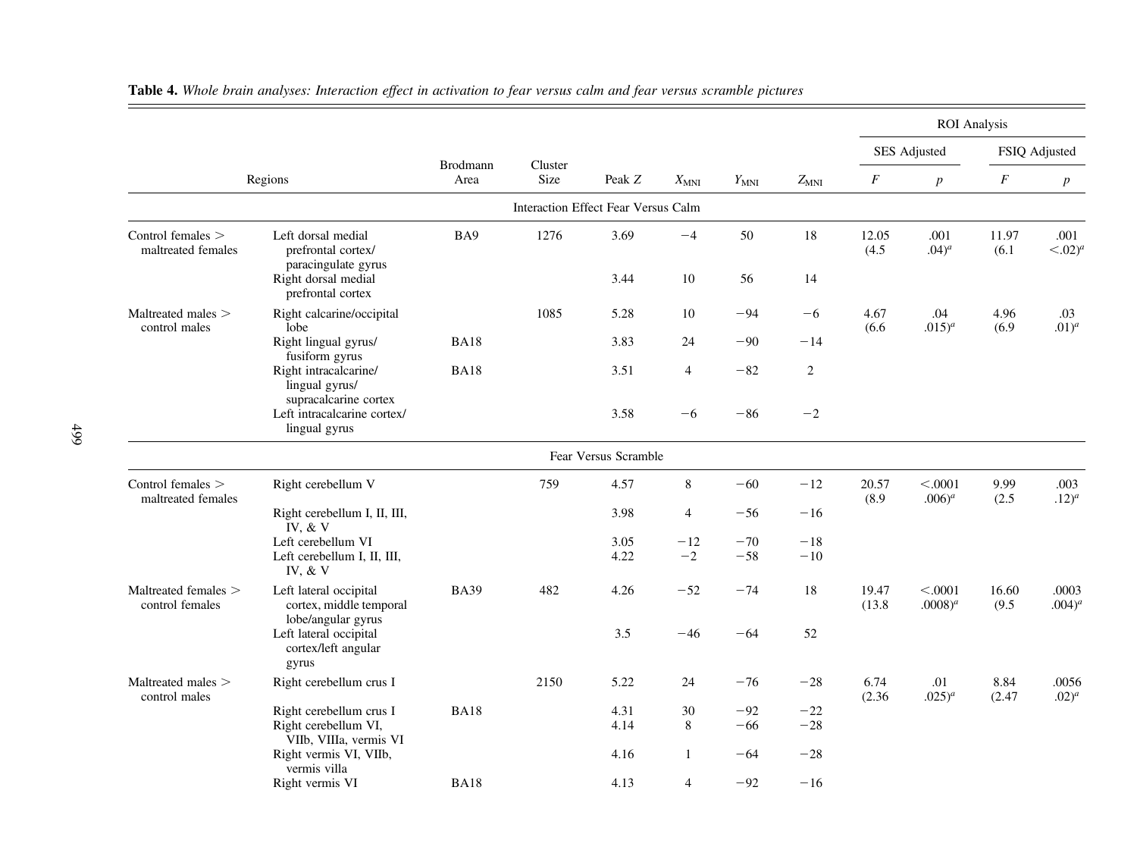|                                           |                                                                         |                                                                      |                 |                                     |                  |                  |           |                  |                         | <b>ROI</b> Analysis |                                 |
|-------------------------------------------|-------------------------------------------------------------------------|----------------------------------------------------------------------|-----------------|-------------------------------------|------------------|------------------|-----------|------------------|-------------------------|---------------------|---------------------------------|
|                                           |                                                                         | Brodmann<br>Area<br>BA9<br><b>BA18</b><br><b>BA18</b><br><b>BA39</b> |                 |                                     |                  |                  |           |                  | <b>SES</b> Adjusted     |                     | FSIQ Adjusted                   |
|                                           | Regions                                                                 |                                                                      | Cluster<br>Size | Peak Z                              | $X_{\text{MNI}}$ | $Y_{\text{MNI}}$ | $Z_{MNI}$ | $\boldsymbol{F}$ | $\boldsymbol{p}$        | $\cal F$            | $\boldsymbol{p}$                |
|                                           |                                                                         |                                                                      |                 | Interaction Effect Fear Versus Calm |                  |                  |           |                  |                         |                     |                                 |
| Control females $>$<br>maltreated females | Left dorsal medial<br>prefrontal cortex/<br>paracingulate gyrus         |                                                                      | 1276            | 3.69                                | $-4$             | 50               | 18        | 12.05<br>(4.5)   | .001<br>$(0.4)^a$       | 11.97<br>(6.1)      | .001<br>$\langle .02 \rangle^a$ |
|                                           | Right dorsal medial<br>prefrontal cortex                                |                                                                      |                 | 3.44                                | 10               | 56               | 14        |                  |                         |                     |                                 |
| Maltreated males ><br>control males       | Right calcarine/occipital<br>lobe                                       |                                                                      | 1085            | 5.28                                | 10               | $-94$            | $-6$      | 4.67<br>(6.6)    | .04<br>$.015)^{a}$      | 4.96<br>(6.9)       | .03<br>$.01)^{a}$               |
|                                           | Right lingual gyrus/<br>fusiform gyrus                                  |                                                                      |                 | 3.83                                | 24               | $-90$            | $-14$     |                  |                         |                     |                                 |
|                                           | Right intracalcarine/<br>lingual gyrus/<br>supracalcarine cortex        |                                                                      |                 | 3.51                                | $\overline{4}$   | $-82$            | 2         |                  |                         |                     |                                 |
|                                           | Left intracalcarine cortex/<br>lingual gyrus                            |                                                                      |                 | 3.58                                | $-6$             | $-86$            | $-2$      |                  |                         |                     |                                 |
|                                           |                                                                         |                                                                      |                 | Fear Versus Scramble                |                  |                  |           |                  |                         |                     |                                 |
| Control females ><br>maltreated females   | Right cerebellum V                                                      |                                                                      | 759             | 4.57                                | 8                | $-60$            | $-12$     | 20.57<br>(8.9)   | < .0001<br>$.006)^{a}$  | 9.99<br>(2.5)       | .003<br>$(12)^a$                |
|                                           | Right cerebellum I, II, III,<br>IV, $&V$                                |                                                                      |                 | 3.98                                | $\overline{4}$   | $-56$            | $-16$     |                  |                         |                     |                                 |
|                                           | Left cerebellum VI                                                      |                                                                      |                 | 3.05                                | $-12$            | $-70$            | $-18$     |                  |                         |                     |                                 |
|                                           | Left cerebellum I, II, III,<br>IV, $&V$                                 |                                                                      |                 | 4.22                                | $-2$             | $-58$            | $-10$     |                  |                         |                     |                                 |
| Maltreated females ><br>control females   | Left lateral occipital<br>cortex, middle temporal<br>lobe/angular gyrus |                                                                      | 482             | 4.26                                | $-52$            | $-74$            | 18        | 19.47<br>(13.8)  | < .0001<br>$.0008)^{a}$ | 16.60<br>(9.5)      | .0003<br>$.004)^{a}$            |
|                                           | Left lateral occipital<br>cortex/left angular<br>gyrus                  |                                                                      |                 | 3.5                                 | $-46$            | $-64$            | 52        |                  |                         |                     |                                 |
| Maltreated males ><br>control males       | Right cerebellum crus I                                                 |                                                                      | 2150            | 5.22                                | 24               | $-76$            | $-28$     | 6.74<br>(2.36)   | .01<br>$.025)^{a}$      | 8.84<br>(2.47)      | .0056<br>$.02)^{a}$             |
|                                           | Right cerebellum crus I                                                 | <b>BA18</b>                                                          |                 | 4.31                                | 30               | $-92$            | $-22$     |                  |                         |                     |                                 |
|                                           | Right cerebellum VI,<br>VIIb, VIIIa, vermis VI                          |                                                                      |                 | 4.14                                | 8                | $-66$            | $-28$     |                  |                         |                     |                                 |
|                                           | Right vermis VI, VIIb,<br>vermis villa                                  |                                                                      |                 | 4.16                                | $\mathbf{1}$     | $-64$            | $-28$     |                  |                         |                     |                                 |
|                                           | Right vermis VI                                                         | <b>BA18</b>                                                          |                 | 4.13                                | $\overline{4}$   | $-92$            | $-16$     |                  |                         |                     |                                 |

<span id="page-8-0"></span>Table 4. Whole brain analyses: Interaction effect in activation to fear versus calm and fear versus scramble pictures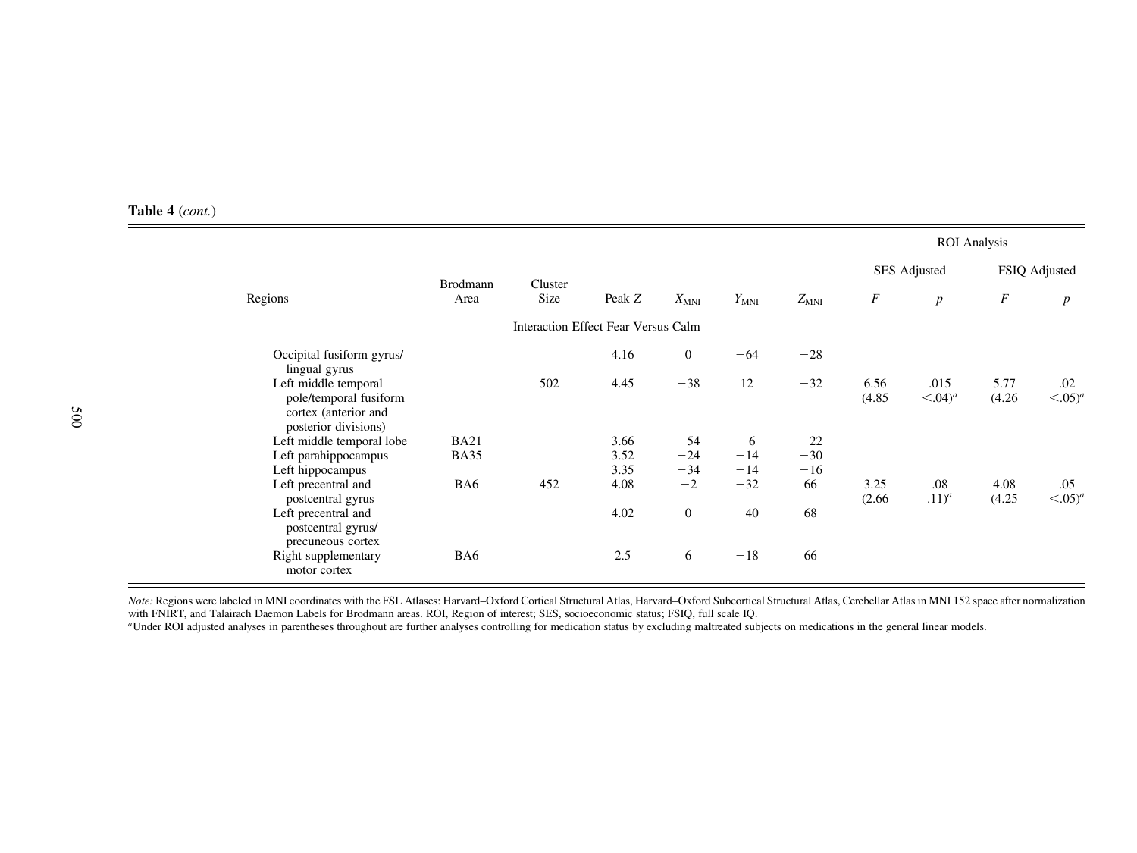|                                                                                                                 |                            |                                     |                      |                         |                        |                         |                  |                                 | <b>ROI</b> Analysis |                                |
|-----------------------------------------------------------------------------------------------------------------|----------------------------|-------------------------------------|----------------------|-------------------------|------------------------|-------------------------|------------------|---------------------------------|---------------------|--------------------------------|
|                                                                                                                 |                            |                                     |                      |                         |                        |                         |                  | SES Adjusted                    |                     | FSIQ Adjusted                  |
| Regions                                                                                                         | Brodmann<br>Area           | Cluster<br>Size                     | Peak Z               | $X_{\rm MNI}$           | $Y_{\text{MNI}}$       | $Z_{MNI}$               | $\boldsymbol{F}$ | $\boldsymbol{p}$                | $\boldsymbol{F}$    | $\boldsymbol{p}$               |
|                                                                                                                 |                            | Interaction Effect Fear Versus Calm |                      |                         |                        |                         |                  |                                 |                     |                                |
| Occipital fusiform gyrus/                                                                                       |                            |                                     | 4.16                 | $\overline{0}$          | $-64$                  | $-28$                   |                  |                                 |                     |                                |
| lingual gyrus<br>Left middle temporal<br>pole/temporal fusiform<br>cortex (anterior and<br>posterior divisions) |                            | 502                                 | 4.45                 | $-38$                   | 12                     | $-32$                   | 6.56<br>(4.85)   | .015<br>$\langle .04 \rangle^a$ | 5.77<br>(4.26)      | .02<br>$\langle .05 \rangle^a$ |
| Left middle temporal lobe<br>Left parahippocampus<br>Left hippocampus                                           | <b>BA21</b><br><b>BA35</b> |                                     | 3.66<br>3.52<br>3.35 | $-54$<br>$-24$<br>$-34$ | $-6$<br>$-14$<br>$-14$ | $-22$<br>$-30$<br>$-16$ |                  |                                 |                     |                                |
| Left precentral and<br>postcentral gyrus                                                                        | BA6                        | 452                                 | 4.08                 | $-2$                    | $-32$                  | 66                      | 3.25<br>(2.66)   | .08<br>$(11)^a$                 | 4.08<br>(4.25)      | .05<br>$\langle .05 \rangle^a$ |
| Left precentral and<br>postcentral gyrus/<br>precuneous cortex                                                  |                            |                                     | 4.02                 | $\overline{0}$          | $-40$                  | 68                      |                  |                                 |                     |                                |
| Right supplementary<br>motor cortex                                                                             | BA6                        |                                     | 2.5                  | 6                       | $-18$                  | 66                      |                  |                                 |                     |                                |

Note: Regions were labeled in MNI coordinates with the FSL Atlases: Harvard–Oxford Cortical Structural Atlas, Harvard–Oxford Subcortical Structural Atlas, Cerebellar Atlas in MNI 152 space after normalization with FNIRT, and Talairach Daemon Labels for Brodmann areas. ROI, Region of interest; SES, socioeconomic status; FSIQ, full scale IQ.

<sup>a</sup>Under ROI adjusted analyses in parentheses throughout are further analyses controlling for medication status by excluding maltreated subjects on medications in the general linear models.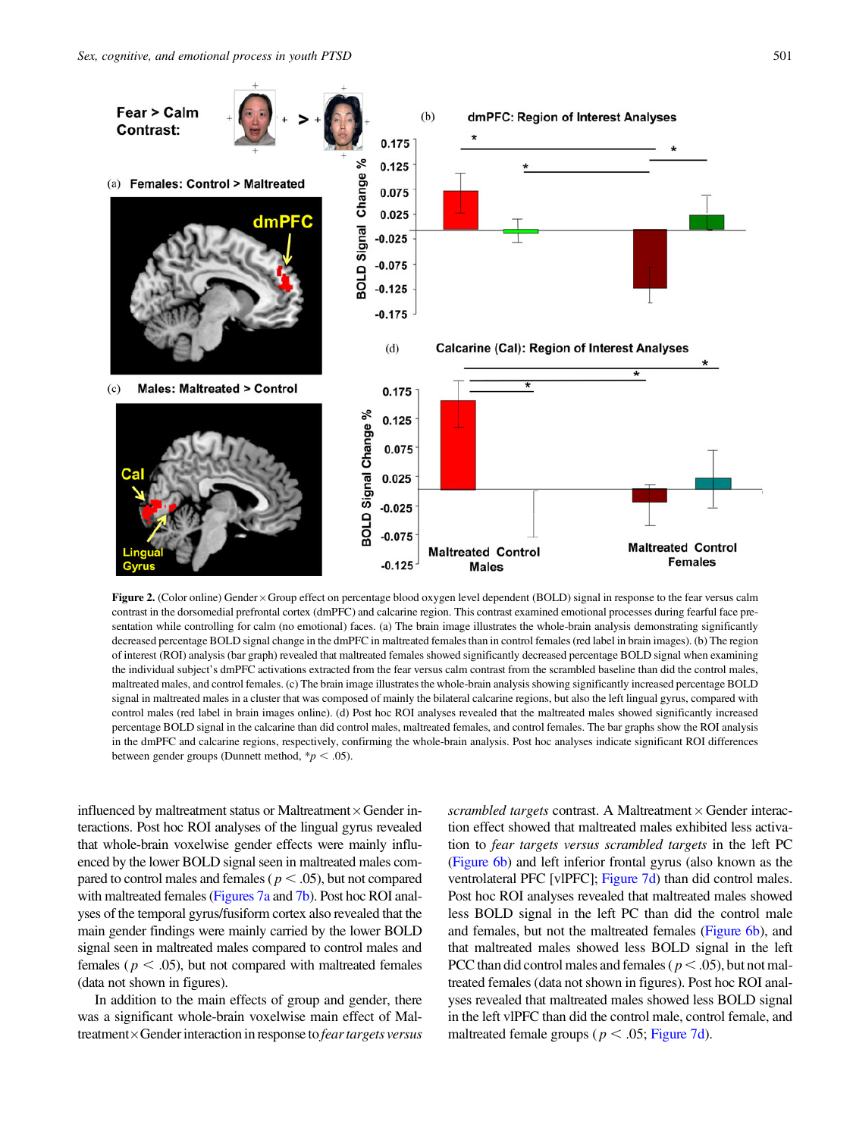<span id="page-10-0"></span>

Figure 2. (Color online) Gender × Group effect on percentage blood oxygen level dependent (BOLD) signal in response to the fear versus calm contrast in the dorsomedial prefrontal cortex (dmPFC) and calcarine region. This contrast examined emotional processes during fearful face presentation while controlling for calm (no emotional) faces. (a) The brain image illustrates the whole-brain analysis demonstrating significantly decreased percentage BOLD signal change in the dmPFC in maltreated females than in control females (red label in brain images). (b) The region of interest (ROI) analysis (bar graph) revealed that maltreated females showed significantly decreased percentage BOLD signal when examining the individual subject's dmPFC activations extracted from the fear versus calm contrast from the scrambled baseline than did the control males, maltreated males, and control females. (c) The brain image illustrates the whole-brain analysis showing significantly increased percentage BOLD signal in maltreated males in a cluster that was composed of mainly the bilateral calcarine regions, but also the left lingual gyrus, compared with control males (red label in brain images online). (d) Post hoc ROI analyses revealed that the maltreated males showed significantly increased percentage BOLD signal in the calcarine than did control males, maltreated females, and control females. The bar graphs show the ROI analysis in the dmPFC and calcarine regions, respectively, confirming the whole-brain analysis. Post hoc analyses indicate significant ROI differences between gender groups (Dunnett method,  $\frac{*p}{s} < .05$ ).

influenced by maltreatment status or Maltreatment  $\times$  Gender interactions. Post hoc ROI analyses of the lingual gyrus revealed that whole-brain voxelwise gender effects were mainly influenced by the lower BOLD signal seen in maltreated males compared to control males and females ( $p < .05$ ), but not compared with maltreated females ([Figures 7a](#page-17-0) and [7b](#page-17-0)). Post hoc ROI analyses of the temporal gyrus/fusiform cortex also revealed that the main gender findings were mainly carried by the lower BOLD signal seen in maltreated males compared to control males and females ( $p < .05$ ), but not compared with maltreated females (data not shown in figures).

In addition to the main effects of group and gender, there was a significant whole-brain voxelwise main effect of Maltreatment×Gender interaction in response to fear targets versus

scrambled targets contrast. A Maltreatment  $\times$  Gender interaction effect showed that maltreated males exhibited less activation to fear targets versus scrambled targets in the left PC [\(Figure 6b](#page-16-0)) and left inferior frontal gyrus (also known as the ventrolateral PFC [vlPFC]; [Figure 7d\)](#page-17-0) than did control males. Post hoc ROI analyses revealed that maltreated males showed less BOLD signal in the left PC than did the control male and females, but not the maltreated females [\(Figure 6b](#page-16-0)), and that maltreated males showed less BOLD signal in the left PCC than did control males and females ( $p < .05$ ), but not maltreated females (data not shown in figures). Post hoc ROI analyses revealed that maltreated males showed less BOLD signal in the left vlPFC than did the control male, control female, and maltreated female groups ( $p < .05$ ; [Figure 7d\)](#page-17-0).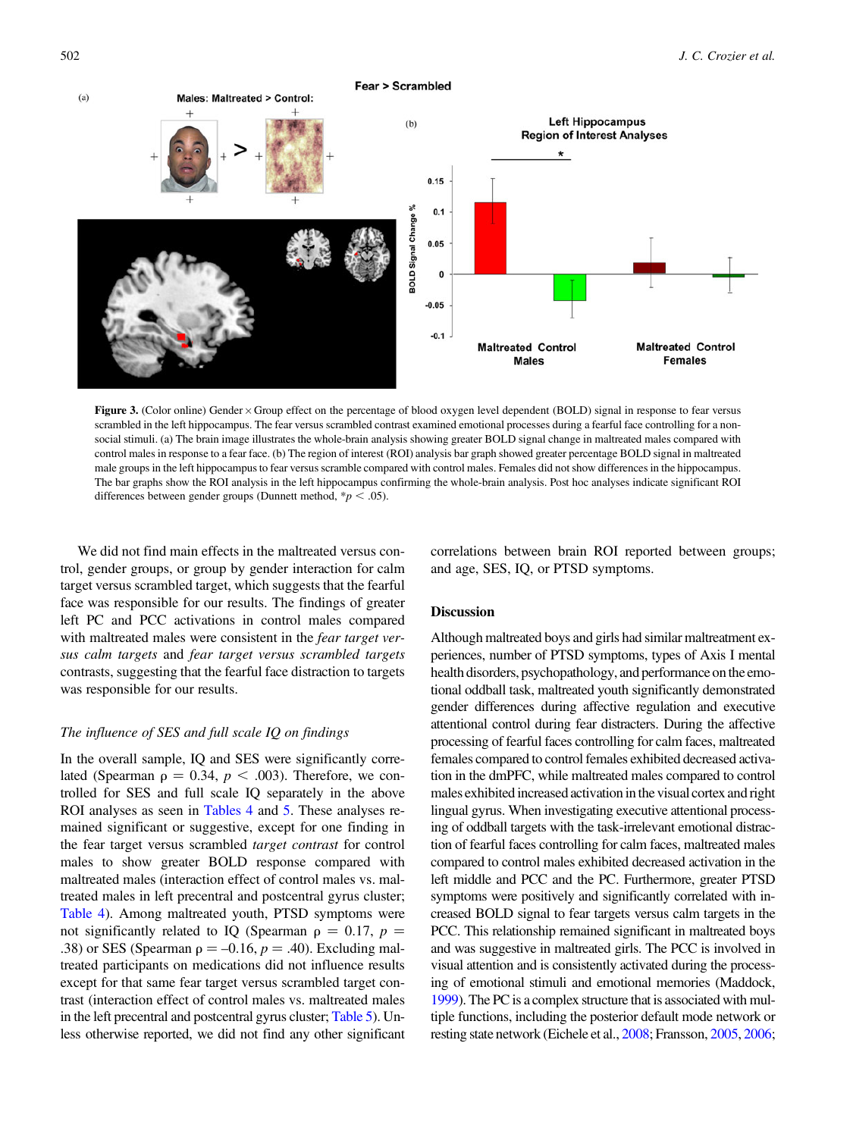<span id="page-11-0"></span>

Figure 3. (Color online) Gender x Group effect on the percentage of blood oxygen level dependent (BOLD) signal in response to fear versus scrambled in the left hippocampus. The fear versus scrambled contrast examined emotional processes during a fearful face controlling for a nonsocial stimuli. (a) The brain image illustrates the whole-brain analysis showing greater BOLD signal change in maltreated males compared with control males in response to a fear face. (b) The region of interest (ROI) analysis bar graph showed greater percentage BOLD signal in maltreated male groups in the left hippocampus to fear versus scramble compared with control males. Females did not show differences in the hippocampus. The bar graphs show the ROI analysis in the left hippocampus confirming the whole-brain analysis. Post hoc analyses indicate significant ROI differences between gender groups (Dunnett method,  $* p < .05$ ).

We did not find main effects in the maltreated versus control, gender groups, or group by gender interaction for calm target versus scrambled target, which suggests that the fearful face was responsible for our results. The findings of greater left PC and PCC activations in control males compared with maltreated males were consistent in the fear target versus calm targets and fear target versus scrambled targets contrasts, suggesting that the fearful face distraction to targets was responsible for our results.

## The influence of SES and full scale IQ on findings

In the overall sample, IQ and SES were significantly correlated (Spearman  $\rho = 0.34$ ,  $p < .003$ ). Therefore, we controlled for SES and full scale IQ separately in the above ROI analyses as seen in [Tables 4](#page-8-0) and [5](#page-13-0). These analyses remained significant or suggestive, except for one finding in the fear target versus scrambled target contrast for control males to show greater BOLD response compared with maltreated males (interaction effect of control males vs. maltreated males in left precentral and postcentral gyrus cluster; [Table 4](#page-8-0)). Among maltreated youth, PTSD symptoms were not significantly related to IQ (Spearman  $\rho = 0.17$ ,  $p =$ .38) or SES (Spearman  $\rho = -0.16$ ,  $p = .40$ ). Excluding maltreated participants on medications did not influence results except for that same fear target versus scrambled target contrast (interaction effect of control males vs. maltreated males in the left precentral and postcentral gyrus cluster; [Table 5](#page-13-0)). Unless otherwise reported, we did not find any other significant correlations between brain ROI reported between groups; and age, SES, IQ, or PTSD symptoms.

#### **Discussion**

Although maltreated boys and girls had similar maltreatment experiences, number of PTSD symptoms, types of Axis I mental health disorders, psychopathology, and performance on the emotional oddball task, maltreated youth significantly demonstrated gender differences during affective regulation and executive attentional control during fear distracters. During the affective processing of fearful faces controlling for calm faces, maltreated females compared to control females exhibited decreased activation in the dmPFC, while maltreated males compared to control males exhibited increased activation in the visual cortex and right lingual gyrus. When investigating executive attentional processing of oddball targets with the task-irrelevant emotional distraction of fearful faces controlling for calm faces, maltreated males compared to control males exhibited decreased activation in the left middle and PCC and the PC. Furthermore, greater PTSD symptoms were positively and significantly correlated with increased BOLD signal to fear targets versus calm targets in the PCC. This relationship remained significant in maltreated boys and was suggestive in maltreated girls. The PCC is involved in visual attention and is consistently activated during the processing of emotional stimuli and emotional memories (Maddock, [1999](#page-21-0)). The PC is a complex structure that is associated with multiple functions, including the posterior default mode network or resting state network (Eichele et al., [2008](#page-20-0); Fransson, [2005,](#page-20-0) [2006](#page-20-0);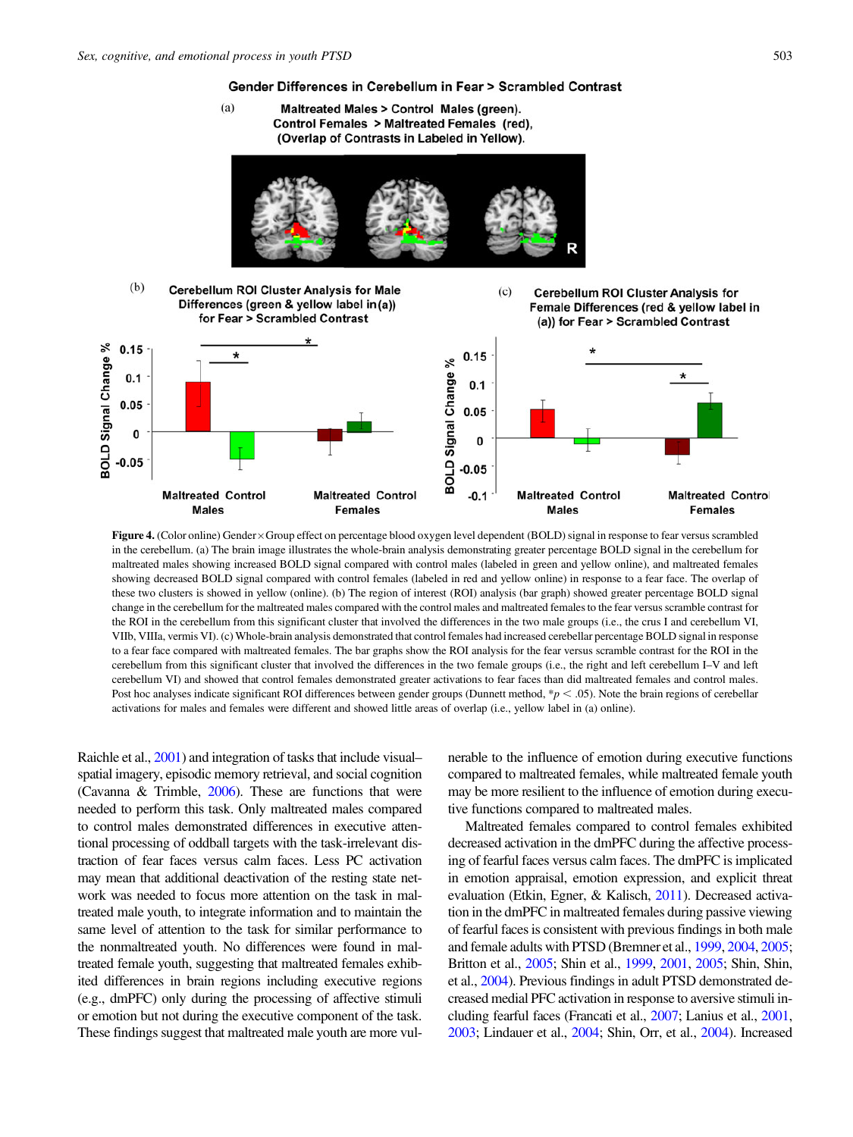#### Gender Differences in Cerebellum in Fear > Scrambled Contrast

<span id="page-12-0"></span> $(a)$ Maltreated Males > Control Males (green). Control Females > Maltreated Females (red), (Overlap of Contrasts in Labeled in Yellow).









 $(c)$ 

Figure 4. (Color online) Gender×Group effect on percentage blood oxygen level dependent (BOLD) signal in response to fear versus scrambled in the cerebellum. (a) The brain image illustrates the whole-brain analysis demonstrating greater percentage BOLD signal in the cerebellum for maltreated males showing increased BOLD signal compared with control males (labeled in green and yellow online), and maltreated females showing decreased BOLD signal compared with control females (labeled in red and yellow online) in response to a fear face. The overlap of these two clusters is showed in yellow (online). (b) The region of interest (ROI) analysis (bar graph) showed greater percentage BOLD signal change in the cerebellum for the maltreated males compared with the control males and maltreated females to the fear versus scramble contrast for the ROI in the cerebellum from this significant cluster that involved the differences in the two male groups (i.e., the crus I and cerebellum VI, VIIb, VIIIa, vermis VI). (c) Whole-brain analysis demonstrated that control females had increased cerebellar percentage BOLD signal in response to a fear face compared with maltreated females. The bar graphs show the ROI analysis for the fear versus scramble contrast for the ROI in the cerebellum from this significant cluster that involved the differences in the two female groups (i.e., the right and left cerebellum I–V and left cerebellum VI) and showed that control females demonstrated greater activations to fear faces than did maltreated females and control males. Post hoc analyses indicate significant ROI differences between gender groups (Dunnett method,  $\gamma p < .05$ ). Note the brain regions of cerebellar activations for males and females were different and showed little areas of overlap (i.e., yellow label in (a) online).

Raichle et al., [2001](#page-22-0)) and integration of tasks that include visual– spatial imagery, episodic memory retrieval, and social cognition (Cavanna & Trimble, [2006\)](#page-20-0). These are functions that were needed to perform this task. Only maltreated males compared to control males demonstrated differences in executive attentional processing of oddball targets with the task-irrelevant distraction of fear faces versus calm faces. Less PC activation may mean that additional deactivation of the resting state network was needed to focus more attention on the task in maltreated male youth, to integrate information and to maintain the same level of attention to the task for similar performance to the nonmaltreated youth. No differences were found in maltreated female youth, suggesting that maltreated females exhibited differences in brain regions including executive regions (e.g., dmPFC) only during the processing of affective stimuli or emotion but not during the executive component of the task. These findings suggest that maltreated male youth are more vul-

nerable to the influence of emotion during executive functions compared to maltreated females, while maltreated female youth may be more resilient to the influence of emotion during executive functions compared to maltreated males.

Maltreated females compared to control females exhibited decreased activation in the dmPFC during the affective processing of fearful faces versus calm faces. The dmPFC is implicated in emotion appraisal, emotion expression, and explicit threat evaluation (Etkin, Egner, & Kalisch, [2011\)](#page-20-0). Decreased activation in the dmPFC in maltreated females during passive viewing of fearful faces is consistent with previous findings in both male and female adults with PTSD (Bremner et al., [1999](#page-20-0), [2004,](#page-20-0) [2005](#page-20-0); Britton et al., [2005](#page-20-0); Shin et al., [1999](#page-22-0), [2001](#page-22-0), [2005;](#page-22-0) Shin, Shin, et al., [2004\)](#page-22-0). Previous findings in adult PTSD demonstrated decreased medial PFC activation in response to aversive stimuli including fearful faces (Francati et al., [2007](#page-20-0); Lanius et al., [2001](#page-21-0), [2003](#page-21-0); Lindauer et al., [2004](#page-21-0); Shin, Orr, et al., [2004](#page-22-0)). Increased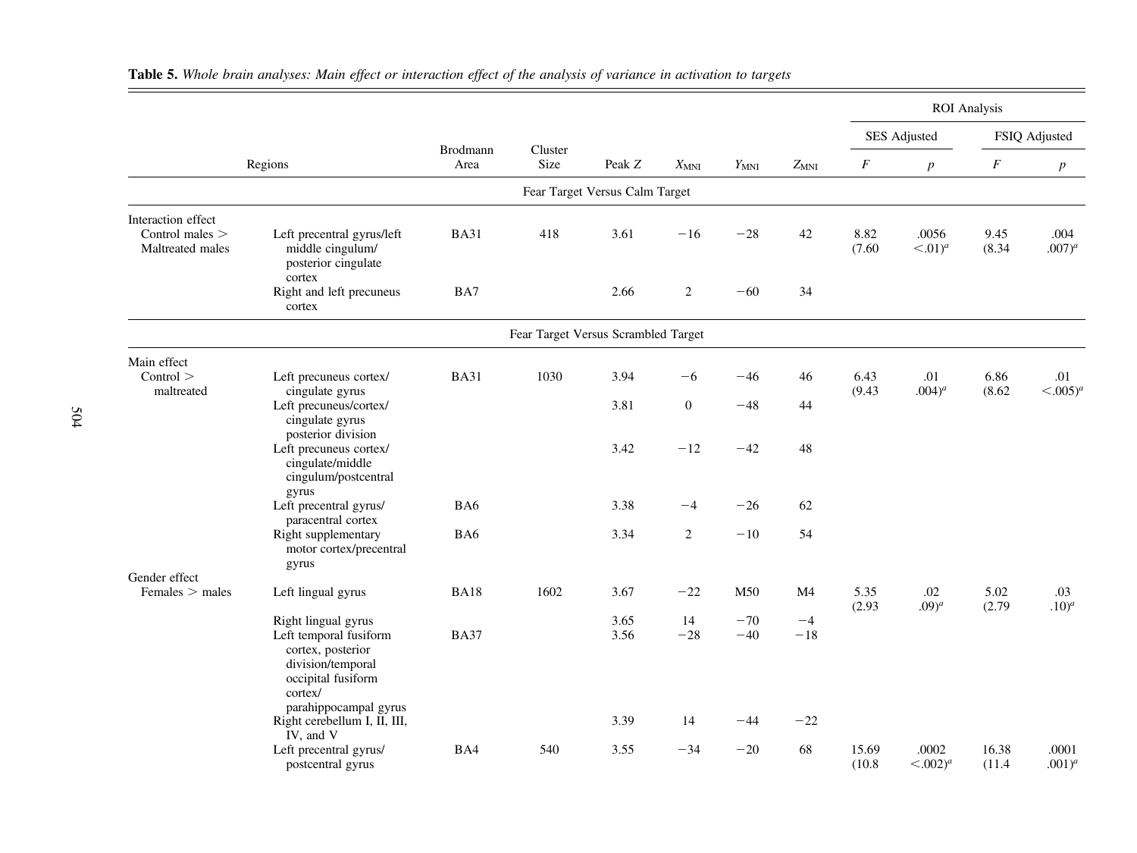|                                                             |                                                                                                                                                   |                  |                                     |                                |                  |                  |               | <b>ROI</b> Analysis                                                                                                   |                          |                                   |                        |  |  |
|-------------------------------------------------------------|---------------------------------------------------------------------------------------------------------------------------------------------------|------------------|-------------------------------------|--------------------------------|------------------|------------------|---------------|-----------------------------------------------------------------------------------------------------------------------|--------------------------|-----------------------------------|------------------------|--|--|
|                                                             |                                                                                                                                                   |                  |                                     |                                |                  |                  |               |                                                                                                                       | <b>SES</b> Adjusted      |                                   | FSIQ Adjusted          |  |  |
|                                                             | Regions                                                                                                                                           | Brodmann<br>Area | Cluster<br>Size                     | Peak Z                         | $X_{\text{MNI}}$ | $Y_{\text{MNI}}$ | $Z_{MNI}$     | $\boldsymbol{F}$                                                                                                      | p                        | $\cal F$                          | $\boldsymbol{p}$       |  |  |
|                                                             |                                                                                                                                                   |                  |                                     | Fear Target Versus Calm Target |                  |                  |               |                                                                                                                       |                          |                                   |                        |  |  |
| Interaction effect<br>Control males $>$<br>Maltreated males | Left precentral gyrus/left<br>middle cingulum/<br>posterior cingulate                                                                             | <b>BA31</b>      | 418                                 | 3.61                           | $-16$            | $-28$            | 42            | 8.82<br>.0056<br>9.45<br>(7.60)<br>$\leq 0.01)^a$<br>(8.34)<br>6.43<br>6.86<br>.01<br>(9.43)<br>$.004)^{a}$<br>(8.62) | .004<br>$.007)^{a}$      |                                   |                        |  |  |
|                                                             | cortex<br>Right and left precuneus<br>cortex                                                                                                      | BA7              |                                     | 2.66                           | $\overline{c}$   | $-60$            | 34            |                                                                                                                       |                          |                                   |                        |  |  |
|                                                             |                                                                                                                                                   |                  | Fear Target Versus Scrambled Target |                                |                  |                  |               |                                                                                                                       |                          |                                   |                        |  |  |
| Main effect<br>Control<br>maltreated                        | Left precuneus cortex/<br>cingulate gyrus                                                                                                         | <b>BA31</b>      | 1030                                | 3.94                           | $-6$             | $-46$            | 46            |                                                                                                                       |                          |                                   | .01<br>$\leq 0.005)^a$ |  |  |
|                                                             | Left precuneus/cortex/<br>cingulate gyrus<br>posterior division                                                                                   |                  |                                     | 3.81                           | $\boldsymbol{0}$ | $-48$            | 44            |                                                                                                                       |                          |                                   |                        |  |  |
|                                                             | Left precuneus cortex/<br>cingulate/middle<br>cingulum/postcentral<br>gyrus                                                                       |                  |                                     | 3.42                           | $-12$            | $-42$            | 48            |                                                                                                                       |                          | 5.02<br>(2.79)<br>16.38<br>(11.4) |                        |  |  |
|                                                             | Left precentral gyrus/<br>paracentral cortex                                                                                                      | BA6              |                                     | 3.38                           | $-4$             | $-26$            | 62            |                                                                                                                       |                          |                                   |                        |  |  |
|                                                             | Right supplementary<br>motor cortex/precentral<br>gyrus                                                                                           | BA6              |                                     | 3.34                           | $\overline{c}$   | $-10$            | 54            |                                                                                                                       |                          |                                   |                        |  |  |
| Gender effect<br>$F$ emales $>$ males                       | Left lingual gyrus                                                                                                                                | <b>BA18</b>      | 1602                                | 3.67                           | $-22$            | M50              | M4            | 5.35<br>(2.93)                                                                                                        | $.02\,$<br>$.09)^{a}$    |                                   | .03<br>$(10)^a$        |  |  |
|                                                             | Right lingual gyrus<br>Left temporal fusiform<br>cortex, posterior<br>division/temporal<br>occipital fusiform<br>cortex/<br>parahippocampal gyrus | <b>BA37</b>      |                                     | 3.65<br>3.56                   | 14<br>$-28$      | $-70$<br>$-40$   | $-4$<br>$-18$ |                                                                                                                       |                          |                                   |                        |  |  |
|                                                             | Right cerebellum I, II, III,<br>IV, and V                                                                                                         |                  |                                     | 3.39                           | 14               | $-44$            | $-22$         |                                                                                                                       |                          |                                   |                        |  |  |
|                                                             | Left precentral gyrus/<br>postcentral gyrus                                                                                                       | BA4              | 540                                 | 3.55                           | $-34$            | $-20$            | 68            | 15.69<br>(10.8)                                                                                                       | .0002<br>$\leq 0.002)^a$ |                                   | .0001<br>$.001)^{a}$   |  |  |

<span id="page-13-0"></span>Table 5. Whole brain analyses: Main effect or interaction effect of the analysis of variance in activation to targets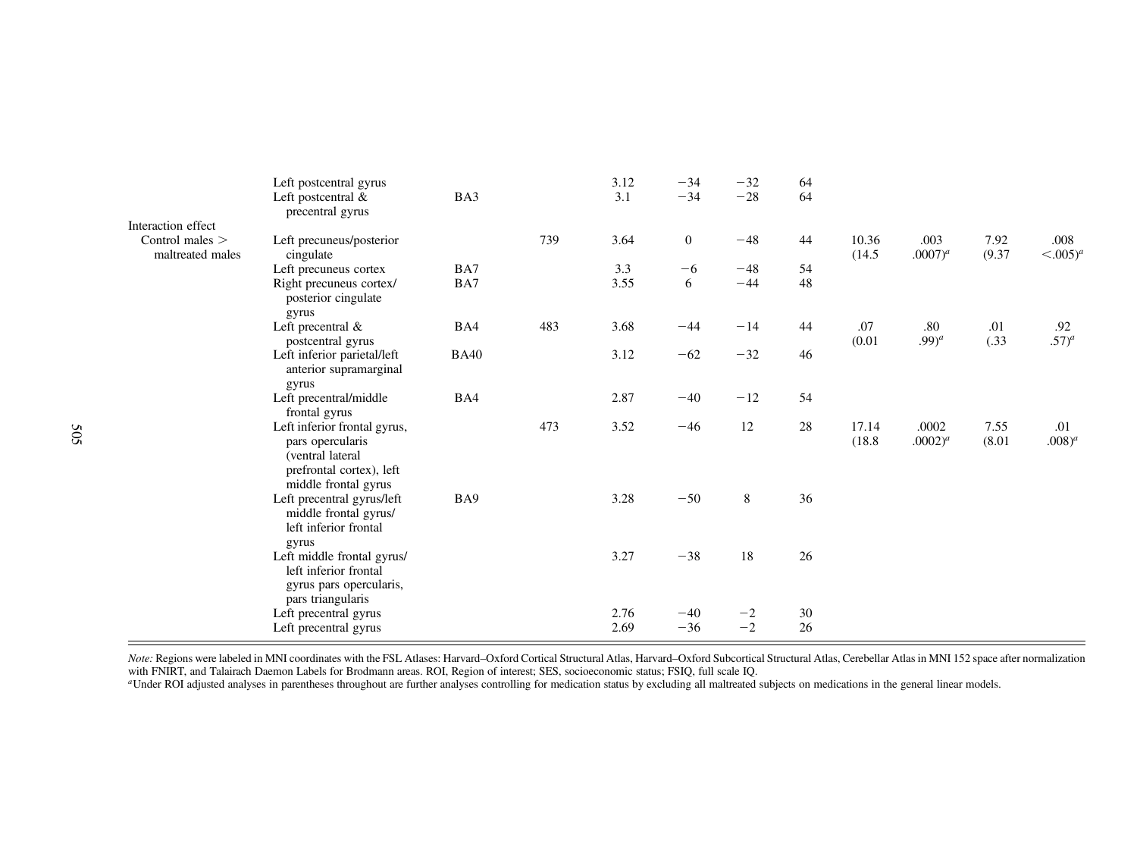|                                       | Left postcentral gyrus                                                                                                   |             |     | 3.12         | $-34$          | $-32$        | 64       |                 |                       |                |                         |
|---------------------------------------|--------------------------------------------------------------------------------------------------------------------------|-------------|-----|--------------|----------------|--------------|----------|-----------------|-----------------------|----------------|-------------------------|
|                                       | Left postcentral &<br>precentral gyrus                                                                                   | BA3         |     | 3.1          | $-34$          | $-28$        | 64       |                 |                       |                |                         |
| Interaction effect                    |                                                                                                                          |             |     |              |                |              |          |                 |                       |                |                         |
| Control males $>$<br>maltreated males | Left precuneus/posterior<br>cingulate                                                                                    |             | 739 | 3.64         | $\mathbf{0}$   | $-48$        | 44       | 10.36<br>(14.5) | .003<br>$.0007)^{a}$  | 7.92<br>(9.37) | .008<br>$\leq 0.005)^a$ |
|                                       | Left precuneus cortex                                                                                                    | BA7         |     | 3.3          | $-6$           | $-48$        | 54       |                 |                       |                |                         |
|                                       | Right precuneus cortex/<br>posterior cingulate<br>gyrus                                                                  | BA7         |     | 3.55         | 6              | $-44$        | 48       |                 |                       |                |                         |
|                                       | Left precentral &<br>postcentral gyrus                                                                                   | BA4         | 483 | 3.68         | $-44$          | $-14$        | 44       | .07<br>(0.01)   | .80<br>$(99)^a$       | .01<br>(.33)   | .92<br>$(57)^{a}$       |
|                                       | Left inferior parietal/left<br>anterior supramarginal<br>gyrus                                                           | <b>BA40</b> |     | 3.12         | $-62$          | $-32$        | 46       |                 |                       |                |                         |
|                                       | Left precentral/middle<br>frontal gyrus                                                                                  | BA4         |     | 2.87         | $-40$          | $-12$        | 54       |                 |                       |                |                         |
|                                       | Left inferior frontal gyrus,<br>pars opercularis<br>(ventral lateral<br>prefrontal cortex), left<br>middle frontal gyrus |             | 473 | 3.52         | $-46$          | 12           | 28       | 17.14<br>(18.8) | .0002<br>$.0002)^{a}$ | 7.55<br>(8.01) | .01<br>$.008)^{a}$      |
|                                       | Left precentral gyrus/left<br>middle frontal gyrus/<br>left inferior frontal<br>gyrus                                    | BA9         |     | 3.28         | $-50$          | $\,8\,$      | 36       |                 |                       |                |                         |
|                                       | Left middle frontal gyrus/<br>left inferior frontal<br>gyrus pars opercularis,<br>pars triangularis                      |             |     | 3.27         | $-38$          | 18           | 26       |                 |                       |                |                         |
|                                       | Left precentral gyrus<br>Left precentral gyrus                                                                           |             |     | 2.76<br>2.69 | $-40$<br>$-36$ | $-2$<br>$-2$ | 30<br>26 |                 |                       |                |                         |
|                                       |                                                                                                                          |             |     |              |                |              |          |                 |                       |                |                         |

Note: Regions were labeled in MNI coordinates with the FSL Atlases: Harvard–Oxford Cortical Structural Atlas, Harvard–Oxford Subcortical Structural Atlas, Cerebellar Atlas in MNI 152 space after normalization with FNIRT, and Talairach Daemon Labels for Brodmann areas. ROI, Region of interest; SES, socioeconomic status; FSIQ, full scale IQ.

<sup>a</sup>Under ROI adjusted analyses in parentheses throughout are further analyses controlling for medication status by excluding all maltreated subjects on medications in the general linear models.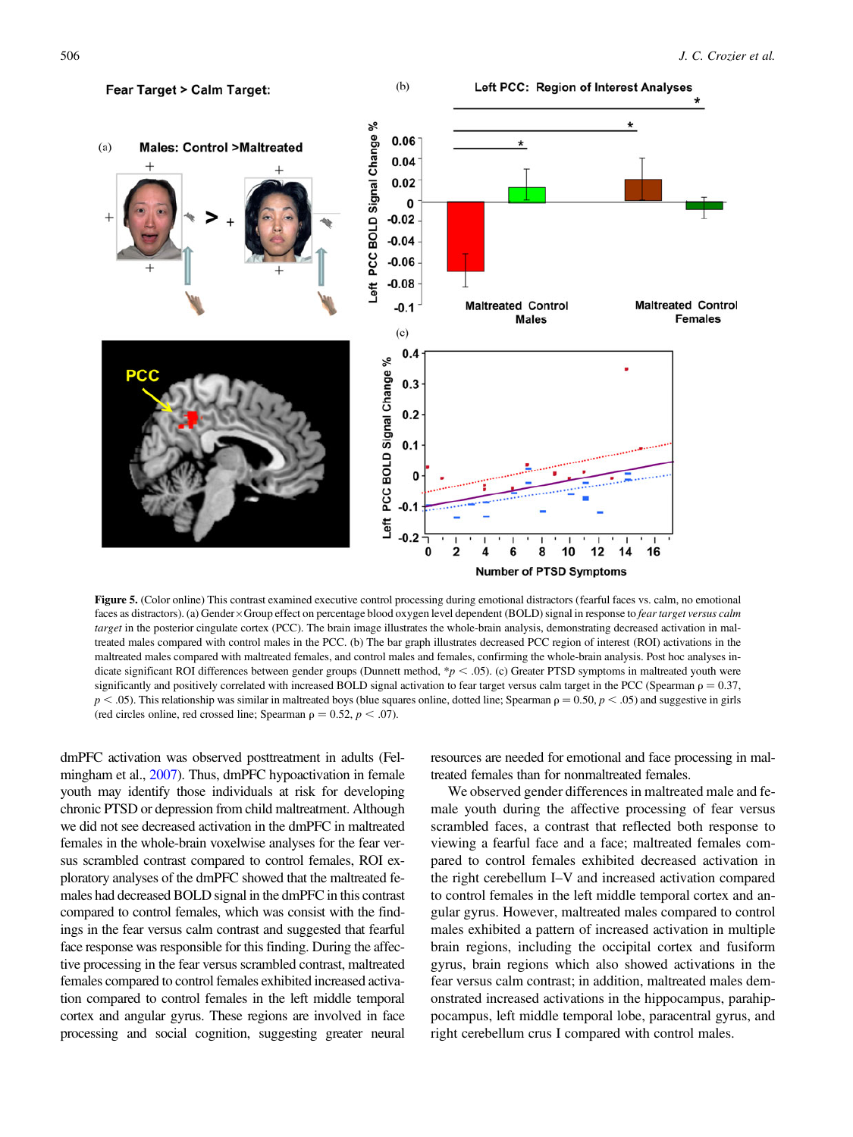<span id="page-15-0"></span>

Figure 5. (Color online) This contrast examined executive control processing during emotional distractors (fearful faces vs. calm, no emotional faces as distractors). (a) Gender×Group effect on percentage blood oxygen level dependent (BOLD) signal in response to *fear target versus calm* target in the posterior cingulate cortex (PCC). The brain image illustrates the whole-brain analysis, demonstrating decreased activation in maltreated males compared with control males in the PCC. (b) The bar graph illustrates decreased PCC region of interest (ROI) activations in the maltreated males compared with maltreated females, and control males and females, confirming the whole-brain analysis. Post hoc analyses indicate significant ROI differences between gender groups (Dunnett method,  $p < .05$ ). (c) Greater PTSD symptoms in maltreated youth were significantly and positively correlated with increased BOLD signal activation to fear target versus calm target in the PCC (Spearman  $\rho = 0.37$ ,  $p < .05$ ). This relationship was similar in maltreated boys (blue squares online, dotted line; Spearman  $\rho = 0.50, p < .05$ ) and suggestive in girls (red circles online, red crossed line; Spearman  $\rho = 0.52, p < .07$ ).

dmPFC activation was observed posttreatment in adults (Felmingham et al., [2007](#page-20-0)). Thus, dmPFC hypoactivation in female youth may identify those individuals at risk for developing chronic PTSD or depression from child maltreatment. Although we did not see decreased activation in the dmPFC in maltreated females in the whole-brain voxelwise analyses for the fear versus scrambled contrast compared to control females, ROI exploratory analyses of the dmPFC showed that the maltreated females had decreased BOLD signal in the dmPFC in this contrast compared to control females, which was consist with the findings in the fear versus calm contrast and suggested that fearful face response was responsible for this finding. During the affective processing in the fear versus scrambled contrast, maltreated females compared to control females exhibited increased activation compared to control females in the left middle temporal cortex and angular gyrus. These regions are involved in face processing and social cognition, suggesting greater neural

resources are needed for emotional and face processing in maltreated females than for nonmaltreated females.

We observed gender differences in maltreated male and female youth during the affective processing of fear versus scrambled faces, a contrast that reflected both response to viewing a fearful face and a face; maltreated females compared to control females exhibited decreased activation in the right cerebellum I–V and increased activation compared to control females in the left middle temporal cortex and angular gyrus. However, maltreated males compared to control males exhibited a pattern of increased activation in multiple brain regions, including the occipital cortex and fusiform gyrus, brain regions which also showed activations in the fear versus calm contrast; in addition, maltreated males demonstrated increased activations in the hippocampus, parahippocampus, left middle temporal lobe, paracentral gyrus, and right cerebellum crus I compared with control males.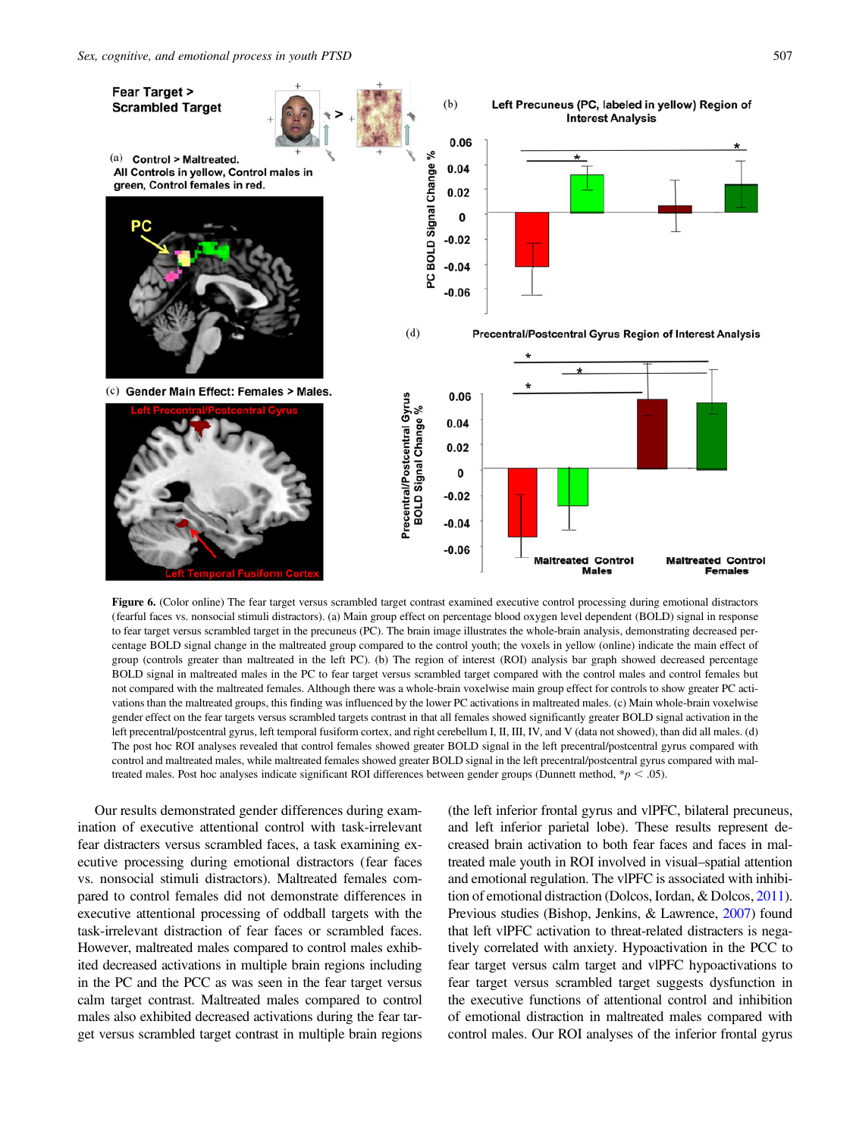<span id="page-16-0"></span>

Figure 6. (Color online) The fear target versus scrambled target contrast examined executive control processing during emotional distractors (fearful faces vs. nonsocial stimuli distractors). (a) Main group effect on percentage blood oxygen level dependent (BOLD) signal in response to fear target versus scrambled target in the precuneus (PC). The brain image illustrates the whole-brain analysis, demonstrating decreased percentage BOLD signal change in the maltreated group compared to the control youth; the voxels in yellow (online) indicate the main effect of group (controls greater than maltreated in the left PC). (b) The region of interest (ROI) analysis bar graph showed decreased percentage BOLD signal in maltreated males in the PC to fear target versus scrambled target compared with the control males and control females but not compared with the maltreated females. Although there was a whole-brain voxelwise main group effect for controls to show greater PC activations than the maltreated groups, this finding was influenced by the lower PC activations in maltreated males. (c) Main whole-brain voxelwise gender effect on the fear targets versus scrambled targets contrast in that all females showed significantly greater BOLD signal activation in the left precentral/postcentral gyrus, left temporal fusiform cortex, and right cerebellum I, II, III, IV, and V (data not showed), than did all males. (d) The post hoc ROI analyses revealed that control females showed greater BOLD signal in the left precentral/postcentral gyrus compared with control and maltreated males, while maltreated females showed greater BOLD signal in the left precentral/postcentral gyrus compared with maltreated males. Post hoc analyses indicate significant ROI differences between gender groups (Dunnett method,  $p < .05$ ).

Our results demonstrated gender differences during examination of executive attentional control with task-irrelevant fear distracters versus scrambled faces, a task examining executive processing during emotional distractors (fear faces vs. nonsocial stimuli distractors). Maltreated females compared to control females did not demonstrate differences in executive attentional processing of oddball targets with the task-irrelevant distraction of fear faces or scrambled faces. However, maltreated males compared to control males exhibited decreased activations in multiple brain regions including in the PC and the PCC as was seen in the fear target versus calm target contrast. Maltreated males compared to control males also exhibited decreased activations during the fear target versus scrambled target contrast in multiple brain regions

(the left inferior frontal gyrus and vlPFC, bilateral precuneus, and left inferior parietal lobe). These results represent decreased brain activation to both fear faces and faces in maltreated male youth in ROI involved in visual–spatial attention and emotional regulation. The vlPFC is associated with inhibition of emotional distraction (Dolcos, Iordan, & Dolcos, [2011](#page-20-0)). Previous studies (Bishop, Jenkins, & Lawrence, [2007\)](#page-20-0) found that left vlPFC activation to threat-related distracters is negatively correlated with anxiety. Hypoactivation in the PCC to fear target versus calm target and vlPFC hypoactivations to fear target versus scrambled target suggests dysfunction in the executive functions of attentional control and inhibition of emotional distraction in maltreated males compared with control males. Our ROI analyses of the inferior frontal gyrus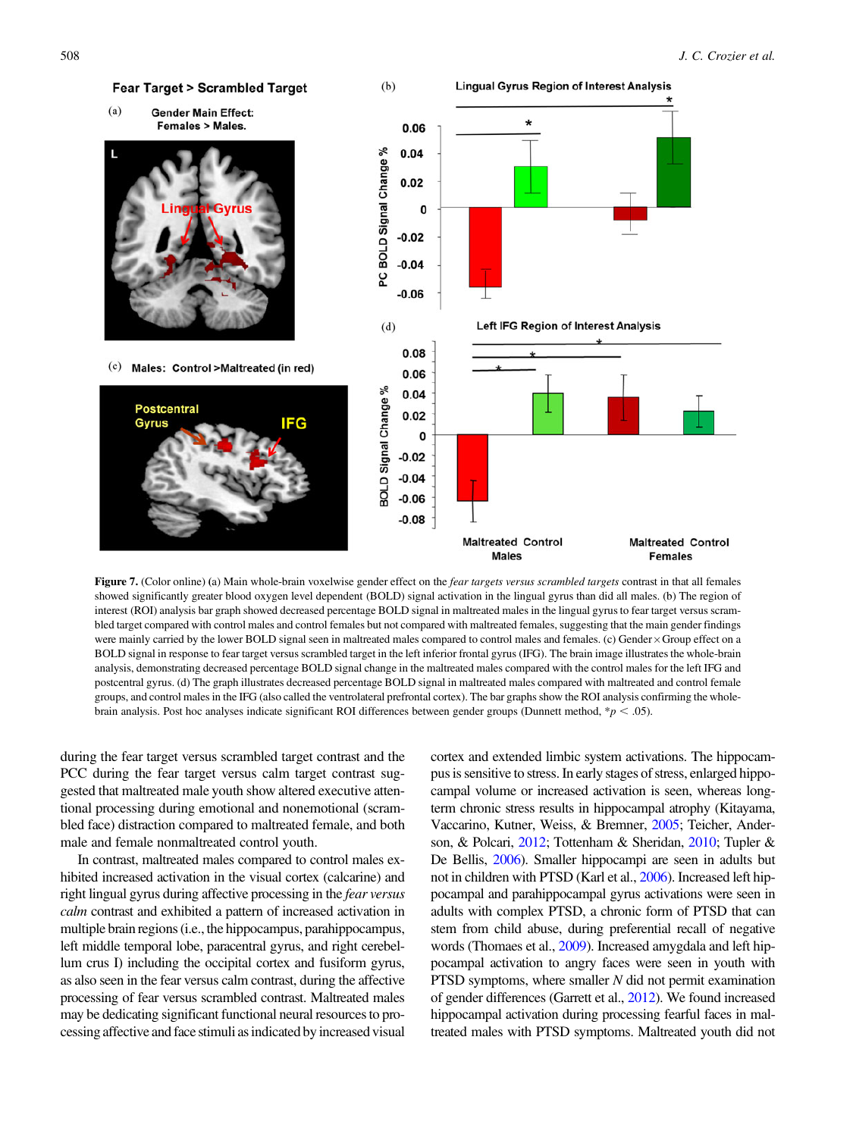<span id="page-17-0"></span>

Figure 7. (Color online) (a) Main whole-brain voxelwise gender effect on the fear targets versus scrambled targets contrast in that all females showed significantly greater blood oxygen level dependent (BOLD) signal activation in the lingual gyrus than did all males. (b) The region of interest (ROI) analysis bar graph showed decreased percentage BOLD signal in maltreated males in the lingual gyrus to fear target versus scrambled target compared with control males and control females but not compared with maltreated females, suggesting that the main gender findings were mainly carried by the lower BOLD signal seen in maltreated males compared to control males and females. (c) Gender × Group effect on a BOLD signal in response to fear target versus scrambled target in the left inferior frontal gyrus (IFG). The brain image illustrates the whole-brain analysis, demonstrating decreased percentage BOLD signal change in the maltreated males compared with the control males for the left IFG and postcentral gyrus. (d) The graph illustrates decreased percentage BOLD signal in maltreated males compared with maltreated and control female groups, and control males in the IFG (also called the ventrolateral prefrontal cortex). The bar graphs show the ROI analysis confirming the wholebrain analysis. Post hoc analyses indicate significant ROI differences between gender groups (Dunnett method,  $*p < .05$ ).

during the fear target versus scrambled target contrast and the PCC during the fear target versus calm target contrast suggested that maltreated male youth show altered executive attentional processing during emotional and nonemotional (scrambled face) distraction compared to maltreated female, and both male and female nonmaltreated control youth.

In contrast, maltreated males compared to control males exhibited increased activation in the visual cortex (calcarine) and right lingual gyrus during affective processing in the fear versus calm contrast and exhibited a pattern of increased activation in multiple brain regions (i.e., the hippocampus, parahippocampus, left middle temporal lobe, paracentral gyrus, and right cerebellum crus I) including the occipital cortex and fusiform gyrus, as also seen in the fear versus calm contrast, during the affective processing of fear versus scrambled contrast. Maltreated males may be dedicating significant functional neural resources to processing affective and face stimuli as indicated by increased visual cortex and extended limbic system activations. The hippocampus is sensitive to stress. In early stages of stress, enlarged hippocampal volume or increased activation is seen, whereas longterm chronic stress results in hippocampal atrophy (Kitayama, Vaccarino, Kutner, Weiss, & Bremner, [2005](#page-21-0); Teicher, Anderson, & Polcari, [2012](#page-22-0); Tottenham & Sheridan, [2010;](#page-22-0) Tupler & De Bellis, [2006\)](#page-22-0). Smaller hippocampi are seen in adults but not in children with PTSD (Karl et al., [2006\)](#page-21-0). Increased left hippocampal and parahippocampal gyrus activations were seen in adults with complex PTSD, a chronic form of PTSD that can stem from child abuse, during preferential recall of negative words (Thomaes et al., [2009](#page-22-0)). Increased amygdala and left hippocampal activation to angry faces were seen in youth with PTSD symptoms, where smaller N did not permit examination of gender differences (Garrett et al., [2012](#page-20-0)). We found increased hippocampal activation during processing fearful faces in maltreated males with PTSD symptoms. Maltreated youth did not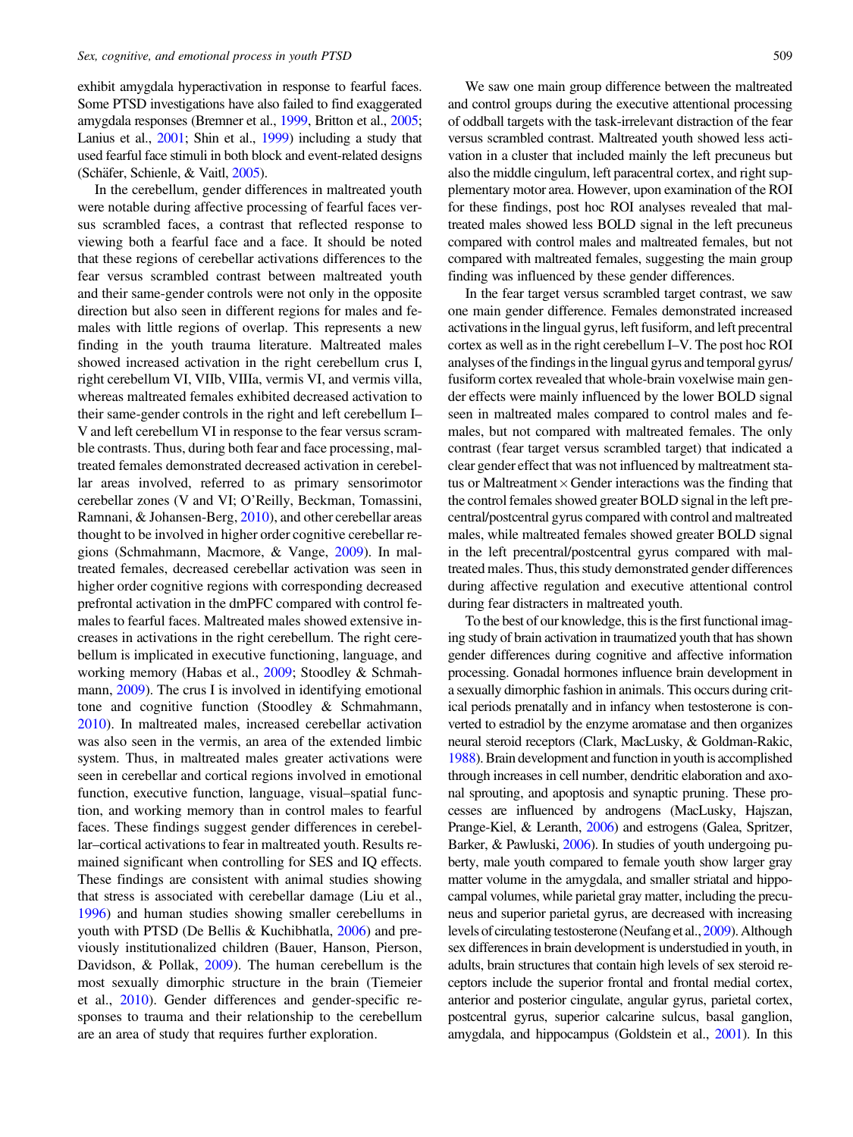exhibit amygdala hyperactivation in response to fearful faces. Some PTSD investigations have also failed to find exaggerated amygdala responses (Bremner et al., [1999](#page-20-0), Britton et al., [2005](#page-20-0); Lanius et al., [2001;](#page-21-0) Shin et al., [1999](#page-22-0)) including a study that used fearful face stimuli in both block and event-related designs (Schäfer, Schienle, & Vaitl, [2005\)](#page-22-0).

In the cerebellum, gender differences in maltreated youth were notable during affective processing of fearful faces versus scrambled faces, a contrast that reflected response to viewing both a fearful face and a face. It should be noted that these regions of cerebellar activations differences to the fear versus scrambled contrast between maltreated youth and their same-gender controls were not only in the opposite direction but also seen in different regions for males and females with little regions of overlap. This represents a new finding in the youth trauma literature. Maltreated males showed increased activation in the right cerebellum crus I, right cerebellum VI, VIIb, VIIIa, vermis VI, and vermis villa, whereas maltreated females exhibited decreased activation to their same-gender controls in the right and left cerebellum I– V and left cerebellum VI in response to the fear versus scramble contrasts. Thus, during both fear and face processing, maltreated females demonstrated decreased activation in cerebellar areas involved, referred to as primary sensorimotor cerebellar zones (V and VI; O'Reilly, Beckman, Tomassini, Ramnani, & Johansen-Berg, [2010\)](#page-21-0), and other cerebellar areas thought to be involved in higher order cognitive cerebellar regions (Schmahmann, Macmore, & Vange, [2009](#page-22-0)). In maltreated females, decreased cerebellar activation was seen in higher order cognitive regions with corresponding decreased prefrontal activation in the dmPFC compared with control females to fearful faces. Maltreated males showed extensive increases in activations in the right cerebellum. The right cerebellum is implicated in executive functioning, language, and working memory (Habas et al., [2009;](#page-21-0) Stoodley & Schmahmann, [2009](#page-22-0)). The crus I is involved in identifying emotional tone and cognitive function (Stoodley & Schmahmann, [2010](#page-22-0)). In maltreated males, increased cerebellar activation was also seen in the vermis, an area of the extended limbic system. Thus, in maltreated males greater activations were seen in cerebellar and cortical regions involved in emotional function, executive function, language, visual–spatial function, and working memory than in control males to fearful faces. These findings suggest gender differences in cerebellar–cortical activations to fear in maltreated youth. Results remained significant when controlling for SES and IQ effects. These findings are consistent with animal studies showing that stress is associated with cerebellar damage (Liu et al., [1996](#page-21-0)) and human studies showing smaller cerebellums in youth with PTSD (De Bellis & Kuchibhatla, [2006\)](#page-20-0) and previously institutionalized children (Bauer, Hanson, Pierson, Davidson, & Pollak, [2009](#page-19-0)). The human cerebellum is the most sexually dimorphic structure in the brain (Tiemeier et al., [2010\)](#page-22-0). Gender differences and gender-specific responses to trauma and their relationship to the cerebellum are an area of study that requires further exploration.

We saw one main group difference between the maltreated and control groups during the executive attentional processing of oddball targets with the task-irrelevant distraction of the fear versus scrambled contrast. Maltreated youth showed less activation in a cluster that included mainly the left precuneus but also the middle cingulum, left paracentral cortex, and right supplementary motor area. However, upon examination of the ROI for these findings, post hoc ROI analyses revealed that maltreated males showed less BOLD signal in the left precuneus compared with control males and maltreated females, but not compared with maltreated females, suggesting the main group finding was influenced by these gender differences.

In the fear target versus scrambled target contrast, we saw one main gender difference. Females demonstrated increased activations in the lingual gyrus, left fusiform, and left precentral cortex as well as in the right cerebellum I–V. The post hoc ROI analyses of the findings in the lingual gyrus and temporal gyrus/ fusiform cortex revealed that whole-brain voxelwise main gender effects were mainly influenced by the lower BOLD signal seen in maltreated males compared to control males and females, but not compared with maltreated females. The only contrast (fear target versus scrambled target) that indicated a clear gender effect that was not influenced by maltreatment status or Maltreatment $\times$  Gender interactions was the finding that the control females showed greater BOLD signal in the left precentral/postcentral gyrus compared with control and maltreated males, while maltreated females showed greater BOLD signal in the left precentral/postcentral gyrus compared with maltreated males. Thus, this study demonstrated gender differences during affective regulation and executive attentional control during fear distracters in maltreated youth.

To the best of our knowledge, this is the first functional imaging study of brain activation in traumatized youth that has shown gender differences during cognitive and affective information processing. Gonadal hormones influence brain development in a sexually dimorphic fashion in animals. This occurs during critical periods prenatally and in infancy when testosterone is converted to estradiol by the enzyme aromatase and then organizes neural steroid receptors (Clark, MacLusky, & Goldman-Rakic, [1988](#page-20-0)). Brain development and function in youth is accomplished through increases in cell number, dendritic elaboration and axonal sprouting, and apoptosis and synaptic pruning. These processes are influenced by androgens (MacLusky, Hajszan, Prange-Kiel, & Leranth, [2006\)](#page-21-0) and estrogens (Galea, Spritzer, Barker, & Pawluski, [2006](#page-20-0)). In studies of youth undergoing puberty, male youth compared to female youth show larger gray matter volume in the amygdala, and smaller striatal and hippocampal volumes, while parietal gray matter, including the precuneus and superior parietal gyrus, are decreased with increasing levels of circulating testosterone (Neufang et al., [2009\)](#page-21-0). Although sex differences in brain development is understudied in youth, in adults, brain structures that contain high levels of sex steroid receptors include the superior frontal and frontal medial cortex, anterior and posterior cingulate, angular gyrus, parietal cortex, postcentral gyrus, superior calcarine sulcus, basal ganglion, amygdala, and hippocampus (Goldstein et al., [2001](#page-20-0)). In this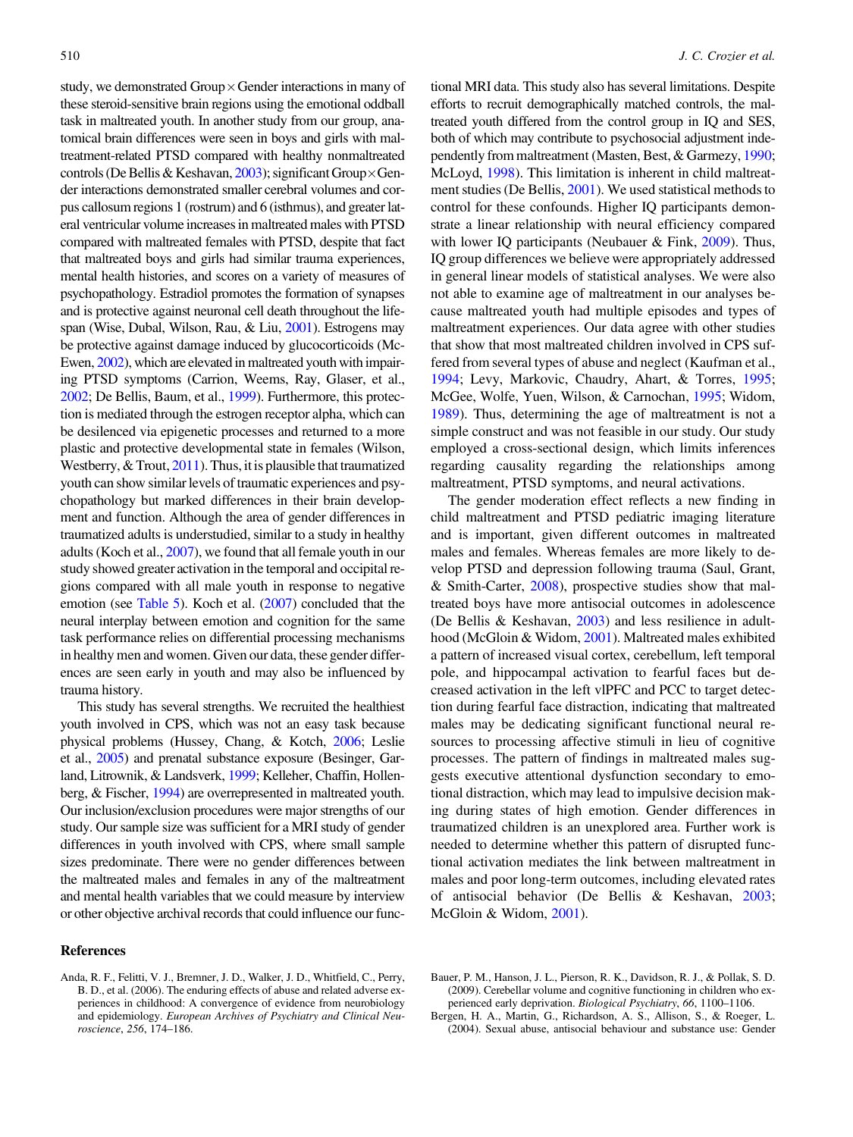<span id="page-19-0"></span>study, we demonstrated Group  $\times$  Gender interactions in many of these steroid-sensitive brain regions using the emotional oddball task in maltreated youth. In another study from our group, anatomical brain differences were seen in boys and girls with maltreatment-related PTSD compared with healthy nonmaltreated controls (De Bellis & Keshavan, [2003\)](#page-20-0); significant Group×Gender interactions demonstrated smaller cerebral volumes and corpus callosum regions 1 (rostrum) and 6 (isthmus), and greater lateral ventricular volume increases in maltreated males with PTSD compared with maltreated females with PTSD, despite that fact that maltreated boys and girls had similar trauma experiences, mental health histories, and scores on a variety of measures of psychopathology. Estradiol promotes the formation of synapses and is protective against neuronal cell death throughout the lifespan (Wise, Dubal, Wilson, Rau, & Liu, [2001\)](#page-22-0). Estrogens may be protective against damage induced by glucocorticoids (Mc-Ewen, [2002](#page-21-0)), which are elevated in maltreated youth with impairing PTSD symptoms (Carrion, Weems, Ray, Glaser, et al., [2002;](#page-20-0) De Bellis, Baum, et al., [1999](#page-20-0)). Furthermore, this protection is mediated through the estrogen receptor alpha, which can be desilenced via epigenetic processes and returned to a more plastic and protective developmental state in females (Wilson, Westberry, & Trout, [2011](#page-22-0)). Thus, it is plausible that traumatized youth can show similar levels of traumatic experiences and psychopathology but marked differences in their brain development and function. Although the area of gender differences in traumatized adults is understudied, similar to a study in healthy adults (Koch et al., [2007](#page-21-0)), we found that all female youth in our study showed greater activation in the temporal and occipital regions compared with all male youth in response to negative emotion (see [Table 5](#page-13-0)). Koch et al. [\(2007](#page-21-0)) concluded that the neural interplay between emotion and cognition for the same task performance relies on differential processing mechanisms in healthy men and women. Given our data, these gender differences are seen early in youth and may also be influenced by trauma history.

This study has several strengths. We recruited the healthiest youth involved in CPS, which was not an easy task because physical problems (Hussey, Chang, & Kotch, [2006](#page-21-0); Leslie et al., [2005](#page-21-0)) and prenatal substance exposure (Besinger, Garland, Litrownik, & Landsverk, [1999](#page-20-0); Kelleher, Chaffin, Hollenberg, & Fischer, [1994](#page-21-0)) are overrepresented in maltreated youth. Our inclusion/exclusion procedures were major strengths of our study. Our sample size was sufficient for a MRI study of gender differences in youth involved with CPS, where small sample sizes predominate. There were no gender differences between the maltreated males and females in any of the maltreatment and mental health variables that we could measure by interview or other objective archival records that could influence our func-

#### References

Anda, R. F., Felitti, V. J., Bremner, J. D., Walker, J. D., Whitfield, C., Perry, B. D., et al. (2006). The enduring effects of abuse and related adverse experiences in childhood: A convergence of evidence from neurobiology and epidemiology. European Archives of Psychiatry and Clinical Neuroscience, 256, 174–186.

tional MRI data. This study also has several limitations. Despite efforts to recruit demographically matched controls, the maltreated youth differed from the control group in IQ and SES, both of which may contribute to psychosocial adjustment independently from maltreatment (Masten, Best, & Garmezy, [1990](#page-21-0); McLoyd, [1998\)](#page-21-0). This limitation is inherent in child maltreatment studies (De Bellis, [2001](#page-20-0)). We used statistical methods to control for these confounds. Higher IQ participants demonstrate a linear relationship with neural efficiency compared with lower IQ participants (Neubauer & Fink, [2009\)](#page-21-0). Thus, IQ group differences we believe were appropriately addressed in general linear models of statistical analyses. We were also not able to examine age of maltreatment in our analyses because maltreated youth had multiple episodes and types of maltreatment experiences. Our data agree with other studies that show that most maltreated children involved in CPS suffered from several types of abuse and neglect (Kaufman et al., [1994](#page-21-0); Levy, Markovic, Chaudry, Ahart, & Torres, [1995](#page-21-0); McGee, Wolfe, Yuen, Wilson, & Carnochan, [1995;](#page-21-0) Widom, [1989](#page-22-0)). Thus, determining the age of maltreatment is not a simple construct and was not feasible in our study. Our study employed a cross-sectional design, which limits inferences regarding causality regarding the relationships among maltreatment, PTSD symptoms, and neural activations.

The gender moderation effect reflects a new finding in child maltreatment and PTSD pediatric imaging literature and is important, given different outcomes in maltreated males and females. Whereas females are more likely to develop PTSD and depression following trauma (Saul, Grant, & Smith-Carter, [2008](#page-22-0)), prospective studies show that maltreated boys have more antisocial outcomes in adolescence (De Bellis & Keshavan, [2003](#page-20-0)) and less resilience in adulthood (McGloin & Widom, [2001\)](#page-21-0). Maltreated males exhibited a pattern of increased visual cortex, cerebellum, left temporal pole, and hippocampal activation to fearful faces but decreased activation in the left vlPFC and PCC to target detection during fearful face distraction, indicating that maltreated males may be dedicating significant functional neural resources to processing affective stimuli in lieu of cognitive processes. The pattern of findings in maltreated males suggests executive attentional dysfunction secondary to emotional distraction, which may lead to impulsive decision making during states of high emotion. Gender differences in traumatized children is an unexplored area. Further work is needed to determine whether this pattern of disrupted functional activation mediates the link between maltreatment in males and poor long-term outcomes, including elevated rates of antisocial behavior (De Bellis & Keshavan, [2003](#page-20-0); McGloin & Widom, [2001](#page-21-0)).

Bauer, P. M., Hanson, J. L., Pierson, R. K., Davidson, R. J., & Pollak, S. D. (2009). Cerebellar volume and cognitive functioning in children who experienced early deprivation. Biological Psychiatry, 66, 1100–1106.

Bergen, H. A., Martin, G., Richardson, A. S., Allison, S., & Roeger, L. (2004). Sexual abuse, antisocial behaviour and substance use: Gender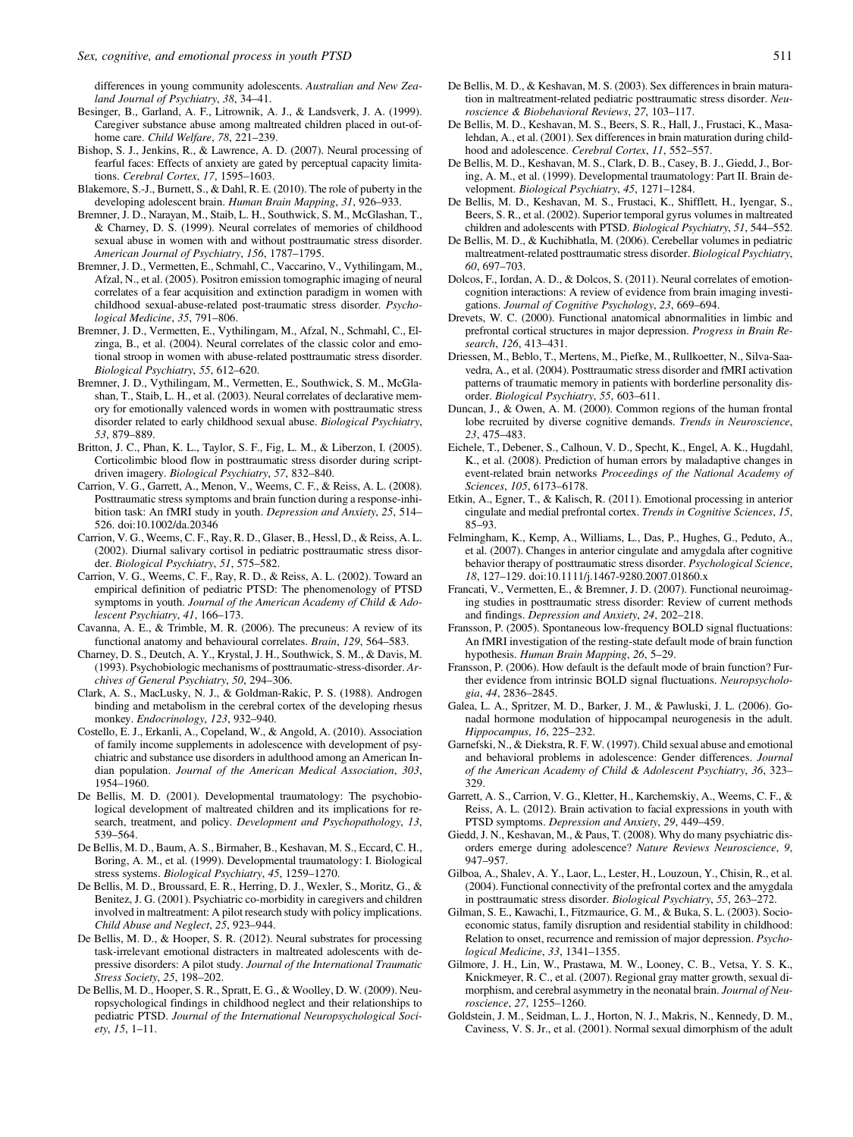<span id="page-20-0"></span>differences in young community adolescents. Australian and New Zealand Journal of Psychiatry, 38, 34–41.

- Besinger, B., Garland, A. F., Litrownik, A. J., & Landsverk, J. A. (1999). Caregiver substance abuse among maltreated children placed in out-ofhome care. Child Welfare, 78, 221–239.
- Bishop, S. J., Jenkins, R., & Lawrence, A. D. (2007). Neural processing of fearful faces: Effects of anxiety are gated by perceptual capacity limitations. Cerebral Cortex, 17, 1595–1603.
- Blakemore, S.-J., Burnett, S., & Dahl, R. E. (2010). The role of puberty in the developing adolescent brain. Human Brain Mapping, 31, 926–933.
- Bremner, J. D., Narayan, M., Staib, L. H., Southwick, S. M., McGlashan, T., & Charney, D. S. (1999). Neural correlates of memories of childhood sexual abuse in women with and without posttraumatic stress disorder. American Journal of Psychiatry, 156, 1787–1795.
- Bremner, J. D., Vermetten, E., Schmahl, C., Vaccarino, V., Vythilingam, M., Afzal, N., et al. (2005). Positron emission tomographic imaging of neural correlates of a fear acquisition and extinction paradigm in women with childhood sexual-abuse-related post-traumatic stress disorder. Psychological Medicine, 35, 791–806.
- Bremner, J. D., Vermetten, E., Vythilingam, M., Afzal, N., Schmahl, C., Elzinga, B., et al. (2004). Neural correlates of the classic color and emotional stroop in women with abuse-related posttraumatic stress disorder. Biological Psychiatry, 55, 612–620.
- Bremner, J. D., Vythilingam, M., Vermetten, E., Southwick, S. M., McGlashan, T., Staib, L. H., et al. (2003). Neural correlates of declarative memory for emotionally valenced words in women with posttraumatic stress disorder related to early childhood sexual abuse. Biological Psychiatry, 53, 879–889.
- Britton, J. C., Phan, K. L., Taylor, S. F., Fig, L. M., & Liberzon, I. (2005). Corticolimbic blood flow in posttraumatic stress disorder during scriptdriven imagery. Biological Psychiatry, 57, 832-840.
- Carrion, V. G., Garrett, A., Menon, V., Weems, C. F., & Reiss, A. L. (2008). Posttraumatic stress symptoms and brain function during a response-inhibition task: An fMRI study in youth. Depression and Anxiety, 25, 514– 526. doi:10.1002/da.20346
- Carrion, V. G., Weems, C. F., Ray, R. D., Glaser, B., Hessl, D., & Reiss, A. L. (2002). Diurnal salivary cortisol in pediatric posttraumatic stress disorder. Biological Psychiatry, 51, 575–582.
- Carrion, V. G., Weems, C. F., Ray, R. D., & Reiss, A. L. (2002). Toward an empirical definition of pediatric PTSD: The phenomenology of PTSD symptoms in youth. Journal of the American Academy of Child & Adolescent Psychiatry, 41, 166–173.
- Cavanna, A. E., & Trimble, M. R. (2006). The precuneus: A review of its functional anatomy and behavioural correlates. Brain, 129, 564–583.
- Charney, D. S., Deutch, A. Y., Krystal, J. H., Southwick, S. M., & Davis, M. (1993). Psychobiologic mechanisms of posttraumatic-stress-disorder. Archives of General Psychiatry, 50, 294–306.
- Clark, A. S., MacLusky, N. J., & Goldman-Rakic, P. S. (1988). Androgen binding and metabolism in the cerebral cortex of the developing rhesus monkey. Endocrinology, 123, 932–940.
- Costello, E. J., Erkanli, A., Copeland, W., & Angold, A. (2010). Association of family income supplements in adolescence with development of psychiatric and substance use disorders in adulthood among an American Indian population. Journal of the American Medical Association, 303, 1954–1960.
- De Bellis, M. D. (2001). Developmental traumatology: The psychobiological development of maltreated children and its implications for research, treatment, and policy. Development and Psychopathology, 13, 539–564.
- De Bellis, M. D., Baum, A. S., Birmaher, B., Keshavan, M. S., Eccard, C. H., Boring, A. M., et al. (1999). Developmental traumatology: I. Biological stress systems. Biological Psychiatry, 45, 1259–1270.
- De Bellis, M. D., Broussard, E. R., Herring, D. J., Wexler, S., Moritz, G., & Benitez, J. G. (2001). Psychiatric co-morbidity in caregivers and children involved in maltreatment: A pilot research study with policy implications. Child Abuse and Neglect, 25, 923–944.
- De Bellis, M. D., & Hooper, S. R. (2012). Neural substrates for processing task-irrelevant emotional distracters in maltreated adolescents with depressive disorders: A pilot study. Journal of the International Traumatic Stress Society, 25, 198–202.
- De Bellis, M. D., Hooper, S. R., Spratt, E. G., & Woolley, D. W. (2009). Neuropsychological findings in childhood neglect and their relationships to pediatric PTSD. Journal of the International Neuropsychological Society, 15, 1–11.
- De Bellis, M. D., & Keshavan, M. S. (2003). Sex differences in brain maturation in maltreatment-related pediatric posttraumatic stress disorder. Neuroscience & Biobehavioral Reviews, 27, 103–117.
- De Bellis, M. D., Keshavan, M. S., Beers, S. R., Hall, J., Frustaci, K., Masalehdan, A., et al. (2001). Sex differences in brain maturation during childhood and adolescence. Cerebral Cortex, 11, 552–557.
- De Bellis, M. D., Keshavan, M. S., Clark, D. B., Casey, B. J., Giedd, J., Boring, A. M., et al. (1999). Developmental traumatology: Part II. Brain development. Biological Psychiatry, 45, 1271-1284.
- De Bellis, M. D., Keshavan, M. S., Frustaci, K., Shifflett, H., Iyengar, S., Beers, S. R., et al. (2002). Superior temporal gyrus volumes in maltreated children and adolescents with PTSD. Biological Psychiatry, 51, 544–552.
- De Bellis, M. D., & Kuchibhatla, M. (2006). Cerebellar volumes in pediatric maltreatment-related posttraumatic stress disorder. Biological Psychiatry, 60, 697–703.
- Dolcos, F., Iordan, A. D., & Dolcos, S. (2011). Neural correlates of emotioncognition interactions: A review of evidence from brain imaging investigations. Journal of Cognitive Psychology, 23, 669–694.
- Drevets, W. C. (2000). Functional anatomical abnormalities in limbic and prefrontal cortical structures in major depression. Progress in Brain Research, 126, 413–431.
- Driessen, M., Beblo, T., Mertens, M., Piefke, M., Rullkoetter, N., Silva-Saavedra, A., et al. (2004). Posttraumatic stress disorder and fMRI activation patterns of traumatic memory in patients with borderline personality disorder. Biological Psychiatry, 55, 603–611.
- Duncan, J., & Owen, A. M. (2000). Common regions of the human frontal lobe recruited by diverse cognitive demands. Trends in Neuroscience, 23, 475–483.
- Eichele, T., Debener, S., Calhoun, V. D., Specht, K., Engel, A. K., Hugdahl, K., et al. (2008). Prediction of human errors by maladaptive changes in event-related brain networks Proceedings of the National Academy of Sciences, 105, 6173–6178.
- Etkin, A., Egner, T., & Kalisch, R. (2011). Emotional processing in anterior cingulate and medial prefrontal cortex. Trends in Cognitive Sciences, 15, 85–93.
- Felmingham, K., Kemp, A., Williams, L., Das, P., Hughes, G., Peduto, A., et al. (2007). Changes in anterior cingulate and amygdala after cognitive behavior therapy of posttraumatic stress disorder. Psychological Science, 18, 127–129. doi:10.1111/j.1467-9280.2007.01860.x
- Francati, V., Vermetten, E., & Bremner, J. D. (2007). Functional neuroimaging studies in posttraumatic stress disorder: Review of current methods and findings. Depression and Anxiety, 24, 202–218.
- Fransson, P. (2005). Spontaneous low-frequency BOLD signal fluctuations: An fMRI investigation of the resting-state default mode of brain function hypothesis. Human Brain Mapping, 26, 5–29.
- Fransson, P. (2006). How default is the default mode of brain function? Further evidence from intrinsic BOLD signal fluctuations. Neuropsychologia, 44, 2836–2845.
- Galea, L. A., Spritzer, M. D., Barker, J. M., & Pawluski, J. L. (2006). Gonadal hormone modulation of hippocampal neurogenesis in the adult. Hippocampus, 16, 225–232.
- Garnefski, N., & Diekstra, R. F. W. (1997). Child sexual abuse and emotional and behavioral problems in adolescence: Gender differences. Journal of the American Academy of Child & Adolescent Psychiatry, 36, 323– 329.
- Garrett, A. S., Carrion, V. G., Kletter, H., Karchemskiy, A., Weems, C. F., & Reiss, A. L. (2012). Brain activation to facial expressions in youth with PTSD symptoms. Depression and Anxiety, 29, 449–459.
- Giedd, J. N., Keshavan, M., & Paus, T. (2008). Why do many psychiatric disorders emerge during adolescence? Nature Reviews Neuroscience, 9, 947–957.
- Gilboa, A., Shalev, A. Y., Laor, L., Lester, H., Louzoun, Y., Chisin, R., et al. (2004). Functional connectivity of the prefrontal cortex and the amygdala in posttraumatic stress disorder. Biological Psychiatry, 55, 263–272.
- Gilman, S. E., Kawachi, I., Fitzmaurice, G. M., & Buka, S. L. (2003). Socioeconomic status, family disruption and residential stability in childhood: Relation to onset, recurrence and remission of major depression. Psychological Medicine, 33, 1341–1355.
- Gilmore, J. H., Lin, W., Prastawa, M. W., Looney, C. B., Vetsa, Y. S. K., Knickmeyer, R. C., et al. (2007). Regional gray matter growth, sexual dimorphism, and cerebral asymmetry in the neonatal brain. Journal of Neuroscience, 27, 1255–1260.
- Goldstein, J. M., Seidman, L. J., Horton, N. J., Makris, N., Kennedy, D. M., Caviness, V. S. Jr., et al. (2001). Normal sexual dimorphism of the adult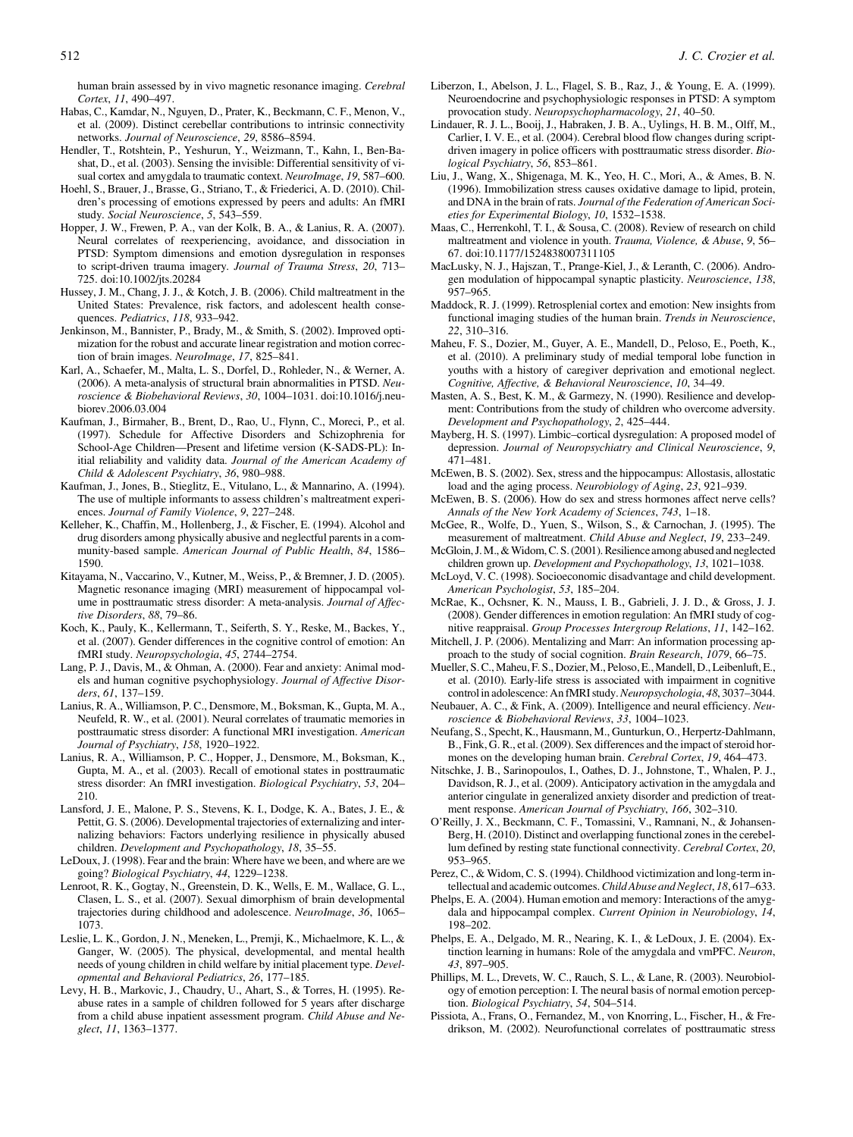<span id="page-21-0"></span>human brain assessed by in vivo magnetic resonance imaging. Cerebral Cortex, 11, 490–497.

- Habas, C., Kamdar, N., Nguyen, D., Prater, K., Beckmann, C. F., Menon, V., et al. (2009). Distinct cerebellar contributions to intrinsic connectivity networks. Journal of Neuroscience, 29, 8586–8594.
- Hendler, T., Rotshtein, P., Yeshurun, Y., Weizmann, T., Kahn, I., Ben-Bashat, D., et al. (2003). Sensing the invisible: Differential sensitivity of visual cortex and amygdala to traumatic context. NeuroImage, 19, 587–600.
- Hoehl, S., Brauer, J., Brasse, G., Striano, T., & Friederici, A. D. (2010). Children's processing of emotions expressed by peers and adults: An fMRI study. Social Neuroscience, 5, 543–559.
- Hopper, J. W., Frewen, P. A., van der Kolk, B. A., & Lanius, R. A. (2007). Neural correlates of reexperiencing, avoidance, and dissociation in PTSD: Symptom dimensions and emotion dysregulation in responses to script-driven trauma imagery. Journal of Trauma Stress, 20, 713– 725. doi:10.1002/jts.20284
- Hussey, J. M., Chang, J. J., & Kotch, J. B. (2006). Child maltreatment in the United States: Prevalence, risk factors, and adolescent health consequences. Pediatrics, 118, 933–942.
- Jenkinson, M., Bannister, P., Brady, M., & Smith, S. (2002). Improved optimization for the robust and accurate linear registration and motion correction of brain images. NeuroImage, 17, 825–841.
- Karl, A., Schaefer, M., Malta, L. S., Dorfel, D., Rohleder, N., & Werner, A. (2006). A meta-analysis of structural brain abnormalities in PTSD. Neuroscience & Biobehavioral Reviews, 30, 1004–1031. doi:10.1016/j.neubiorev.2006.03.004
- Kaufman, J., Birmaher, B., Brent, D., Rao, U., Flynn, C., Moreci, P., et al. (1997). Schedule for Affective Disorders and Schizophrenia for School-Age Children—Present and lifetime version (K-SADS-PL): Initial reliability and validity data. Journal of the American Academy of Child & Adolescent Psychiatry, 36, 980–988.
- Kaufman, J., Jones, B., Stieglitz, E., Vitulano, L., & Mannarino, A. (1994). The use of multiple informants to assess children's maltreatment experiences. Journal of Family Violence, 9, 227–248.
- Kelleher, K., Chaffin, M., Hollenberg, J., & Fischer, E. (1994). Alcohol and drug disorders among physically abusive and neglectful parents in a community-based sample. American Journal of Public Health, 84, 1586– 1590.
- Kitayama, N., Vaccarino, V., Kutner, M., Weiss, P., & Bremner, J. D. (2005). Magnetic resonance imaging (MRI) measurement of hippocampal volume in posttraumatic stress disorder: A meta-analysis. Journal of Affective Disorders, 88, 79–86.
- Koch, K., Pauly, K., Kellermann, T., Seiferth, S. Y., Reske, M., Backes, Y., et al. (2007). Gender differences in the cognitive control of emotion: An fMRI study. Neuropsychologia, 45, 2744–2754.
- Lang, P. J., Davis, M., & Ohman, A. (2000). Fear and anxiety: Animal models and human cognitive psychophysiology. Journal of Affective Disorders, 61, 137–159.
- Lanius, R. A., Williamson, P. C., Densmore, M., Boksman, K., Gupta, M. A., Neufeld, R. W., et al. (2001). Neural correlates of traumatic memories in posttraumatic stress disorder: A functional MRI investigation. American Journal of Psychiatry, 158, 1920–1922.
- Lanius, R. A., Williamson, P. C., Hopper, J., Densmore, M., Boksman, K., Gupta, M. A., et al. (2003). Recall of emotional states in posttraumatic stress disorder: An fMRI investigation. Biological Psychiatry, 53, 204– 210.
- Lansford, J. E., Malone, P. S., Stevens, K. I., Dodge, K. A., Bates, J. E., & Pettit, G. S. (2006). Developmental trajectories of externalizing and internalizing behaviors: Factors underlying resilience in physically abused children. Development and Psychopathology, 18, 35–55.
- LeDoux, J. (1998). Fear and the brain: Where have we been, and where are we going? Biological Psychiatry, 44, 1229–1238.
- Lenroot, R. K., Gogtay, N., Greenstein, D. K., Wells, E. M., Wallace, G. L., Clasen, L. S., et al. (2007). Sexual dimorphism of brain developmental trajectories during childhood and adolescence. NeuroImage, 36, 1065– 1073.
- Leslie, L. K., Gordon, J. N., Meneken, L., Premji, K., Michaelmore, K. L., & Ganger, W. (2005). The physical, developmental, and mental health needs of young children in child welfare by initial placement type. Developmental and Behavioral Pediatrics, 26, 177–185.
- Levy, H. B., Markovic, J., Chaudry, U., Ahart, S., & Torres, H. (1995). Reabuse rates in a sample of children followed for 5 years after discharge from a child abuse inpatient assessment program. Child Abuse and Neglect, 11, 1363–1377.
- Liberzon, I., Abelson, J. L., Flagel, S. B., Raz, J., & Young, E. A. (1999). Neuroendocrine and psychophysiologic responses in PTSD: A symptom provocation study. Neuropsychopharmacology, 21, 40–50.
- Lindauer, R. J. L., Booij, J., Habraken, J. B. A., Uylings, H. B. M., Olff, M., Carlier, I. V. E., et al. (2004). Cerebral blood flow changes during scriptdriven imagery in police officers with posttraumatic stress disorder. Biological Psychiatry, 56, 853–861.
- Liu, J., Wang, X., Shigenaga, M. K., Yeo, H. C., Mori, A., & Ames, B. N. (1996). Immobilization stress causes oxidative damage to lipid, protein, and DNA in the brain of rats. Journal of the Federation of American Societies for Experimental Biology, 10, 1532–1538.
- Maas, C., Herrenkohl, T. I., & Sousa, C. (2008). Review of research on child maltreatment and violence in youth. Trauma, Violence, & Abuse, 9, 56– 67. doi:10.1177/1524838007311105
- MacLusky, N. J., Hajszan, T., Prange-Kiel, J., & Leranth, C. (2006). Androgen modulation of hippocampal synaptic plasticity. Neuroscience, 138, 957–965.
- Maddock, R. J. (1999). Retrosplenial cortex and emotion: New insights from functional imaging studies of the human brain. Trends in Neuroscience, 22, 310–316.
- Maheu, F. S., Dozier, M., Guyer, A. E., Mandell, D., Peloso, E., Poeth, K., et al. (2010). A preliminary study of medial temporal lobe function in youths with a history of caregiver deprivation and emotional neglect. Cognitive, Affective, & Behavioral Neuroscience, 10, 34–49.
- Masten, A. S., Best, K. M., & Garmezy, N. (1990). Resilience and development: Contributions from the study of children who overcome adversity. Development and Psychopathology, 2, 425–444.
- Mayberg, H. S. (1997). Limbic–cortical dysregulation: A proposed model of depression. Journal of Neuropsychiatry and Clinical Neuroscience, 9, 471–481.
- McEwen, B. S. (2002). Sex, stress and the hippocampus: Allostasis, allostatic load and the aging process. Neurobiology of Aging, 23, 921–939.
- McEwen, B. S. (2006). How do sex and stress hormones affect nerve cells? Annals of the New York Academy of Sciences, 743, 1–18.
- McGee, R., Wolfe, D., Yuen, S., Wilson, S., & Carnochan, J. (1995). The measurement of maltreatment. Child Abuse and Neglect, 19, 233–249.
- McGloin, J. M., & Widom, C. S. (2001). Resilience among abused and neglected children grown up. Development and Psychopathology, 13, 1021–1038.
- McLoyd, V. C. (1998). Socioeconomic disadvantage and child development. American Psychologist, 53, 185–204.
- McRae, K., Ochsner, K. N., Mauss, I. B., Gabrieli, J. J. D., & Gross, J. J. (2008). Gender differences in emotion regulation: An fMRI study of cognitive reappraisal. Group Processes Intergroup Relations, 11, 142–162.
- Mitchell, J. P. (2006). Mentalizing and Marr: An information processing approach to the study of social cognition. Brain Research, 1079, 66–75.
- Mueller, S. C.,Maheu, F. S., Dozier,M., Peloso, E.,Mandell, D., Leibenluft, E., et al. (2010). Early-life stress is associated with impairment in cognitive control in adolescence: An fMRI study. Neuropsychologia, 48, 3037-3044.
- Neubauer, A. C., & Fink, A. (2009). Intelligence and neural efficiency. Neuroscience & Biobehavioral Reviews, 33, 1004–1023.
- Neufang, S., Specht, K., Hausmann, M., Gunturkun, O., Herpertz-Dahlmann, B., Fink, G. R., et al. (2009). Sex differences and the impact of steroid hormones on the developing human brain. Cerebral Cortex, 19, 464–473.
- Nitschke, J. B., Sarinopoulos, I., Oathes, D. J., Johnstone, T., Whalen, P. J., Davidson, R. J., et al. (2009). Anticipatory activation in the amygdala and anterior cingulate in generalized anxiety disorder and prediction of treatment response. American Journal of Psychiatry, 166, 302–310.
- O'Reilly, J. X., Beckmann, C. F., Tomassini, V., Ramnani, N., & Johansen-Berg, H. (2010). Distinct and overlapping functional zones in the cerebellum defined by resting state functional connectivity. Cerebral Cortex, 20, 953–965.
- Perez, C., & Widom, C. S. (1994). Childhood victimization and long-term intellectual and academic outcomes.Child Abuse and Neglect, 18, 617–633.
- Phelps, E. A. (2004). Human emotion and memory: Interactions of the amygdala and hippocampal complex. Current Opinion in Neurobiology, 14, 198–202.
- Phelps, E. A., Delgado, M. R., Nearing, K. I., & LeDoux, J. E. (2004). Extinction learning in humans: Role of the amygdala and vmPFC. Neuron, 43, 897–905.
- Phillips, M. L., Drevets, W. C., Rauch, S. L., & Lane, R. (2003). Neurobiology of emotion perception: I. The neural basis of normal emotion perception. Biological Psychiatry, 54, 504–514.
- Pissiota, A., Frans, O., Fernandez, M., von Knorring, L., Fischer, H., & Fredrikson, M. (2002). Neurofunctional correlates of posttraumatic stress